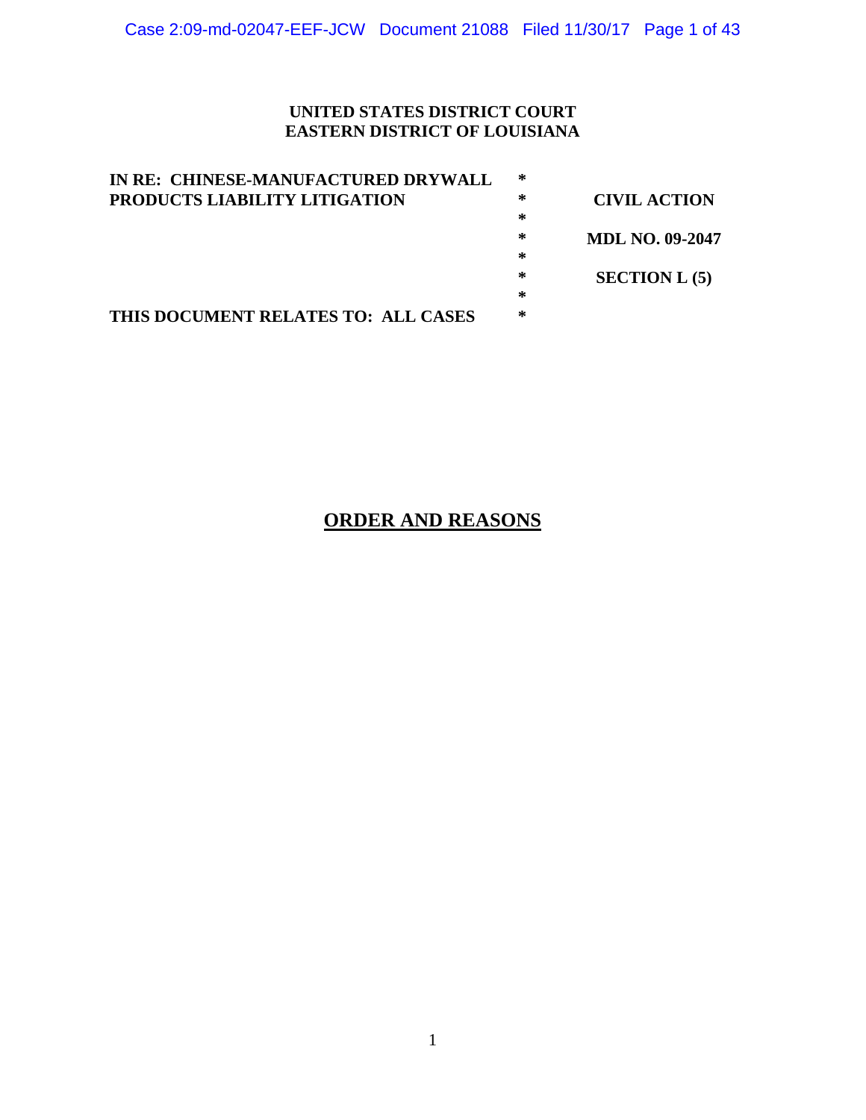# **UNITED STATES DISTRICT COURT EASTERN DISTRICT OF LOUISIANA**

| IN RE: CHINESE-MANUFACTURED DRYWALL  | ∗ |                        |
|--------------------------------------|---|------------------------|
| <b>PRODUCTS LIABILITY LITIGATION</b> | ∗ | <b>CIVIL ACTION</b>    |
|                                      | ∗ |                        |
|                                      | ∗ | <b>MDL NO. 09-2047</b> |
|                                      | ∗ |                        |
|                                      | ∗ | $SECTION L (5)$        |
|                                      | ∗ |                        |
| THIS DOCUMENT RELATES TO: ALL CASES  | ∗ |                        |

# **ORDER AND REASONS**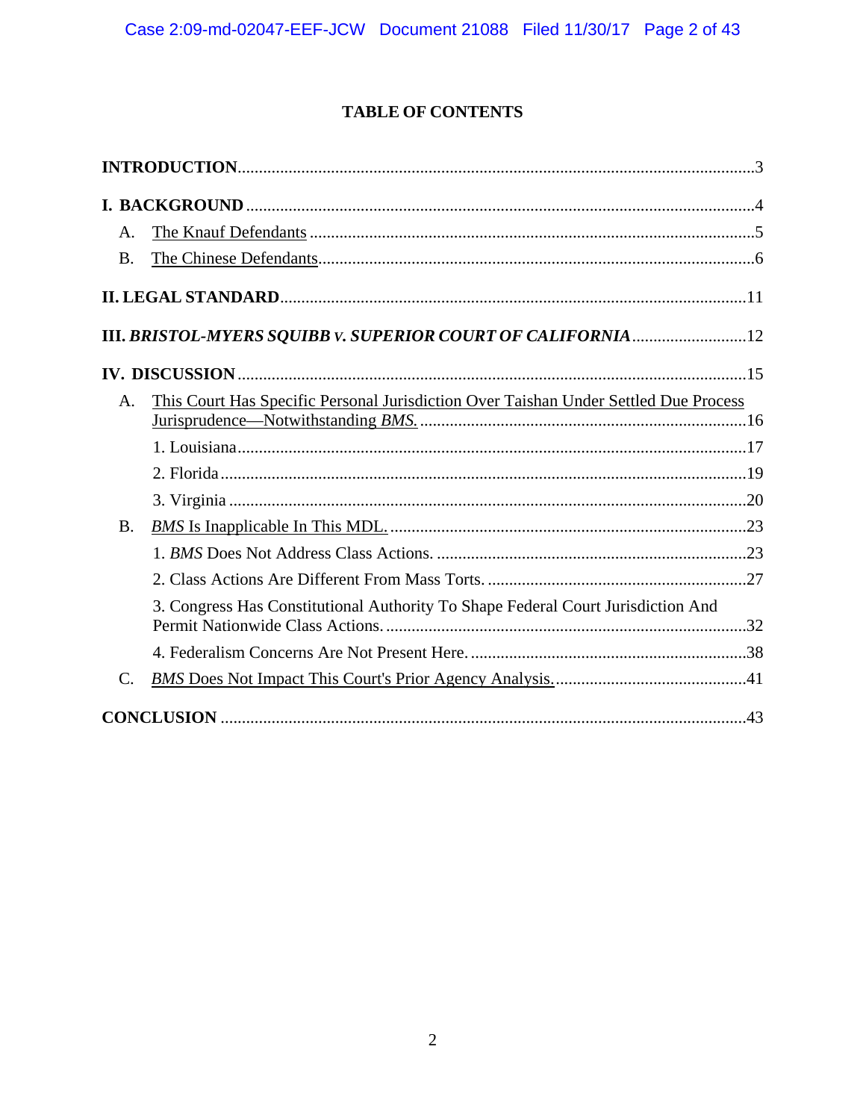# **TABLE OF CONTENTS**

| Α.              |                                                                                      |  |
|-----------------|--------------------------------------------------------------------------------------|--|
| <b>B.</b>       |                                                                                      |  |
|                 |                                                                                      |  |
|                 |                                                                                      |  |
|                 |                                                                                      |  |
| $\mathsf{A}$ .  | This Court Has Specific Personal Jurisdiction Over Taishan Under Settled Due Process |  |
|                 |                                                                                      |  |
|                 |                                                                                      |  |
|                 |                                                                                      |  |
| <b>B.</b>       |                                                                                      |  |
|                 |                                                                                      |  |
|                 |                                                                                      |  |
|                 | 3. Congress Has Constitutional Authority To Shape Federal Court Jurisdiction And     |  |
|                 |                                                                                      |  |
| $\mathcal{C}$ . |                                                                                      |  |
|                 |                                                                                      |  |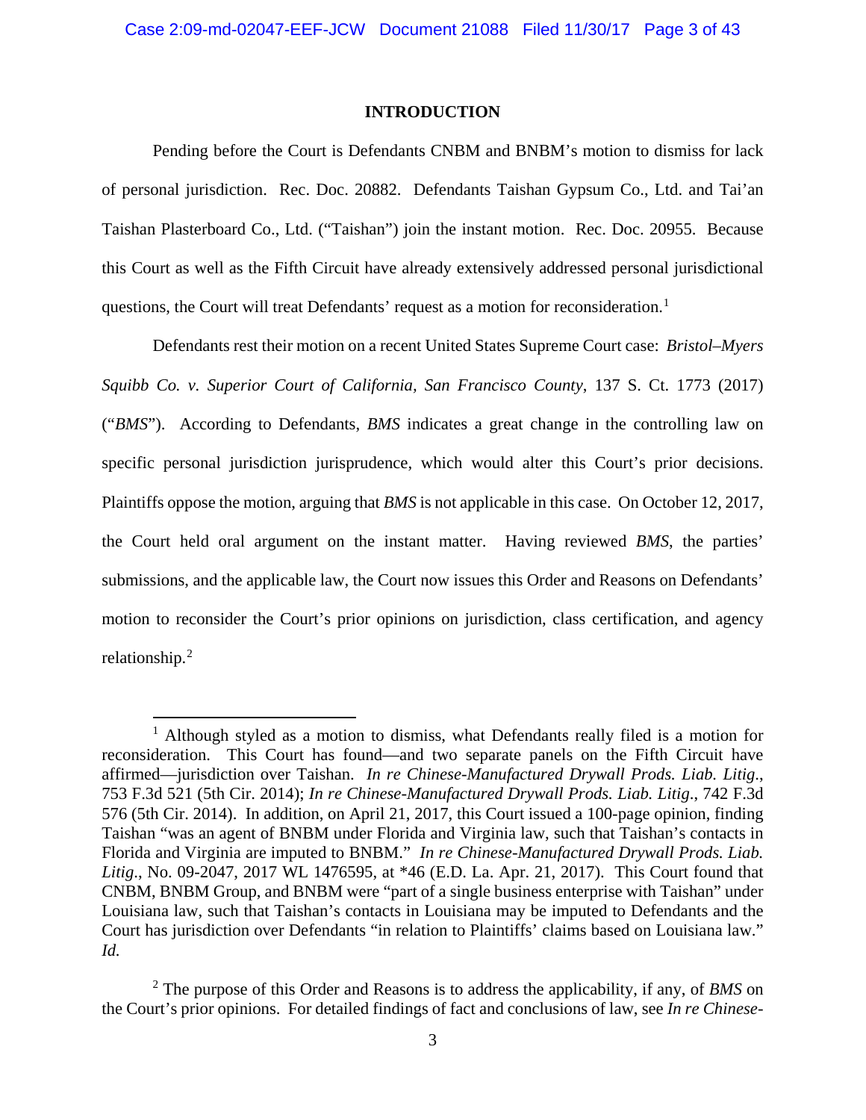### **INTRODUCTION**

Pending before the Court is Defendants CNBM and BNBM's motion to dismiss for lack of personal jurisdiction. Rec. Doc. 20882. Defendants Taishan Gypsum Co., Ltd. and Tai'an Taishan Plasterboard Co., Ltd. ("Taishan") join the instant motion. Rec. Doc. 20955. Because this Court as well as the Fifth Circuit have already extensively addressed personal jurisdictional questions, the Court will treat Defendants' request as a motion for reconsideration.<sup>1</sup>

Defendants rest their motion on a recent United States Supreme Court case: *Bristol–Myers Squibb Co. v. Superior Court of California, San Francisco County*, 137 S. Ct. 1773 (2017) ("*BMS*"). According to Defendants, *BMS* indicates a great change in the controlling law on specific personal jurisdiction jurisprudence, which would alter this Court's prior decisions. Plaintiffs oppose the motion, arguing that *BMS* is not applicable in this case. On October 12, 2017, the Court held oral argument on the instant matter. Having reviewed *BMS*, the parties' submissions, and the applicable law, the Court now issues this Order and Reasons on Defendants' motion to reconsider the Court's prior opinions on jurisdiction, class certification, and agency relationship.<sup>2</sup>

<sup>&</sup>lt;sup>1</sup> Although styled as a motion to dismiss, what Defendants really filed is a motion for reconsideration. This Court has found—and two separate panels on the Fifth Circuit have affirmed—jurisdiction over Taishan. *In re Chinese-Manufactured Drywall Prods. Liab. Litig*., 753 F.3d 521 (5th Cir. 2014); *In re Chinese-Manufactured Drywall Prods. Liab. Litig*., 742 F.3d 576 (5th Cir. 2014). In addition, on April 21, 2017, this Court issued a 100-page opinion, finding Taishan "was an agent of BNBM under Florida and Virginia law, such that Taishan's contacts in Florida and Virginia are imputed to BNBM." *In re Chinese-Manufactured Drywall Prods. Liab. Litig*., No. 09-2047, 2017 WL 1476595, at \*46 (E.D. La. Apr. 21, 2017). This Court found that CNBM, BNBM Group, and BNBM were "part of a single business enterprise with Taishan" under Louisiana law, such that Taishan's contacts in Louisiana may be imputed to Defendants and the Court has jurisdiction over Defendants "in relation to Plaintiffs' claims based on Louisiana law." *Id.*

<sup>2</sup> The purpose of this Order and Reasons is to address the applicability, if any, of *BMS* on the Court's prior opinions. For detailed findings of fact and conclusions of law, see *In re Chinese-*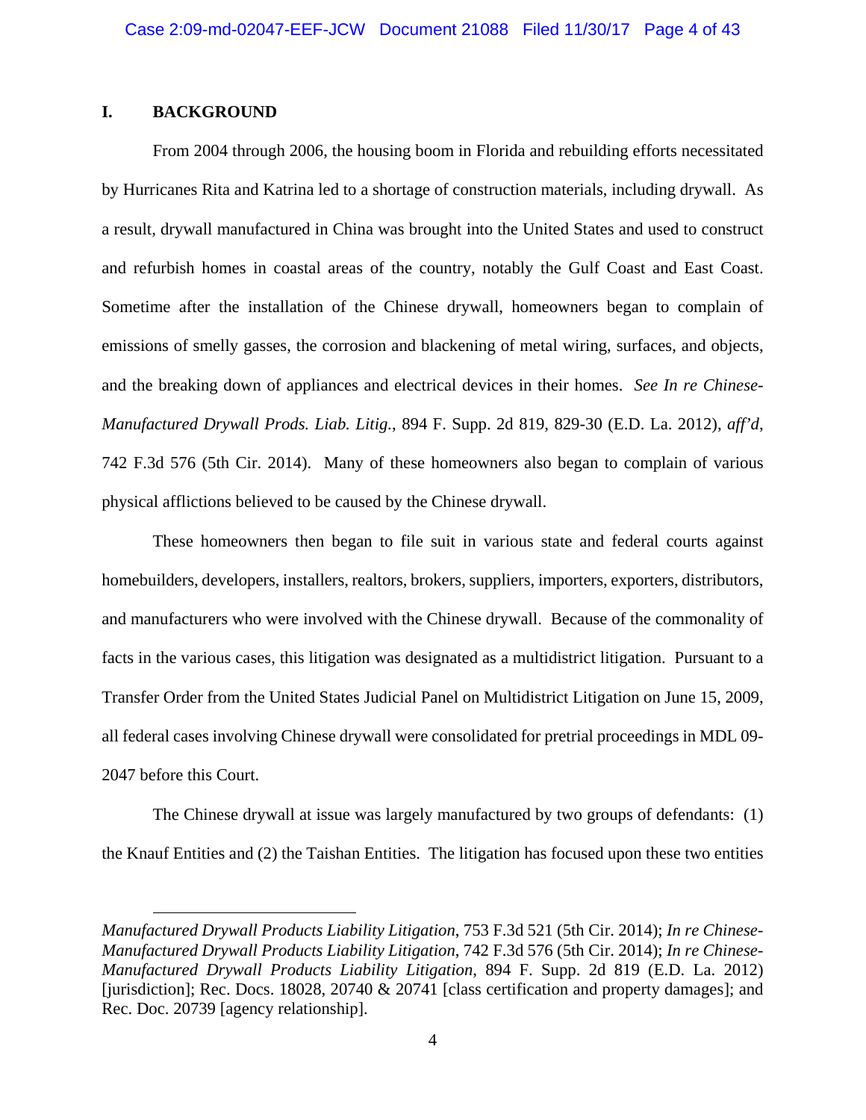## **I. BACKGROUND**

 $\overline{a}$ 

From 2004 through 2006, the housing boom in Florida and rebuilding efforts necessitated by Hurricanes Rita and Katrina led to a shortage of construction materials, including drywall. As a result, drywall manufactured in China was brought into the United States and used to construct and refurbish homes in coastal areas of the country, notably the Gulf Coast and East Coast. Sometime after the installation of the Chinese drywall, homeowners began to complain of emissions of smelly gasses, the corrosion and blackening of metal wiring, surfaces, and objects, and the breaking down of appliances and electrical devices in their homes. *See In re Chinese-Manufactured Drywall Prods. Liab. Litig.*, 894 F. Supp. 2d 819, 829-30 (E.D. La. 2012), *aff'd*, 742 F.3d 576 (5th Cir. 2014). Many of these homeowners also began to complain of various physical afflictions believed to be caused by the Chinese drywall.

These homeowners then began to file suit in various state and federal courts against homebuilders, developers, installers, realtors, brokers, suppliers, importers, exporters, distributors, and manufacturers who were involved with the Chinese drywall. Because of the commonality of facts in the various cases, this litigation was designated as a multidistrict litigation. Pursuant to a Transfer Order from the United States Judicial Panel on Multidistrict Litigation on June 15, 2009, all federal cases involving Chinese drywall were consolidated for pretrial proceedings in MDL 09- 2047 before this Court.

The Chinese drywall at issue was largely manufactured by two groups of defendants: (1) the Knauf Entities and (2) the Taishan Entities. The litigation has focused upon these two entities

*Manufactured Drywall Products Liability Litigation*, 753 F.3d 521 (5th Cir. 2014); *In re Chinese-Manufactured Drywall Products Liability Litigation*, 742 F.3d 576 (5th Cir. 2014); *In re Chinese-Manufactured Drywall Products Liability Litigation*, 894 F. Supp. 2d 819 (E.D. La. 2012) [jurisdiction]; Rec. Docs. 18028, 20740 & 20741 [class certification and property damages]; and Rec. Doc. 20739 [agency relationship].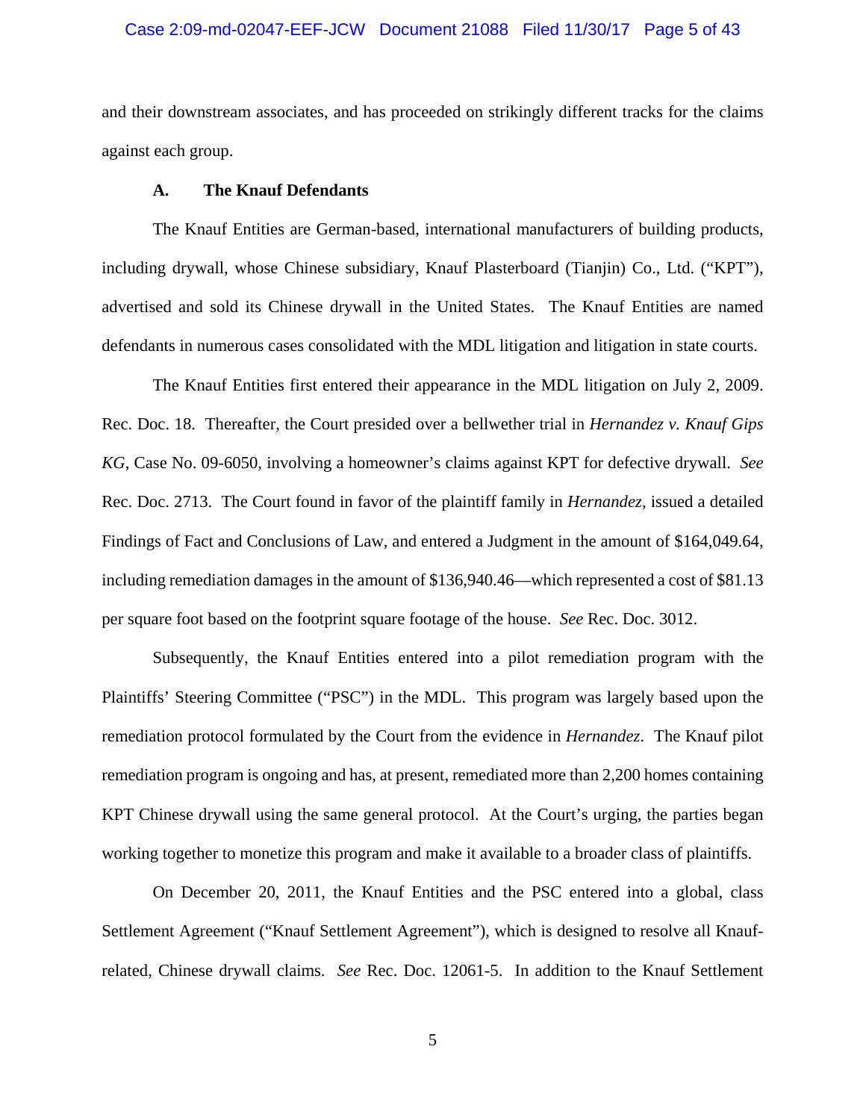### Case 2:09-md-02047-EEF-JCW Document 21088 Filed 11/30/17 Page 5 of 43

and their downstream associates, and has proceeded on strikingly different tracks for the claims against each group.

### **A. The Knauf Defendants**

The Knauf Entities are German-based, international manufacturers of building products, including drywall, whose Chinese subsidiary, Knauf Plasterboard (Tianjin) Co., Ltd. ("KPT"), advertised and sold its Chinese drywall in the United States. The Knauf Entities are named defendants in numerous cases consolidated with the MDL litigation and litigation in state courts.

The Knauf Entities first entered their appearance in the MDL litigation on July 2, 2009. Rec. Doc. 18. Thereafter, the Court presided over a bellwether trial in *Hernandez v. Knauf Gips KG*, Case No. 09-6050, involving a homeowner's claims against KPT for defective drywall. *See* Rec. Doc. 2713. The Court found in favor of the plaintiff family in *Hernandez*, issued a detailed Findings of Fact and Conclusions of Law, and entered a Judgment in the amount of \$164,049.64, including remediation damages in the amount of \$136,940.46—which represented a cost of \$81.13 per square foot based on the footprint square footage of the house. *See* Rec. Doc. 3012.

Subsequently, the Knauf Entities entered into a pilot remediation program with the Plaintiffs' Steering Committee ("PSC") in the MDL. This program was largely based upon the remediation protocol formulated by the Court from the evidence in *Hernandez*. The Knauf pilot remediation program is ongoing and has, at present, remediated more than 2,200 homes containing KPT Chinese drywall using the same general protocol. At the Court's urging, the parties began working together to monetize this program and make it available to a broader class of plaintiffs.

On December 20, 2011, the Knauf Entities and the PSC entered into a global, class Settlement Agreement ("Knauf Settlement Agreement"), which is designed to resolve all Knaufrelated, Chinese drywall claims. *See* Rec. Doc. 12061-5. In addition to the Knauf Settlement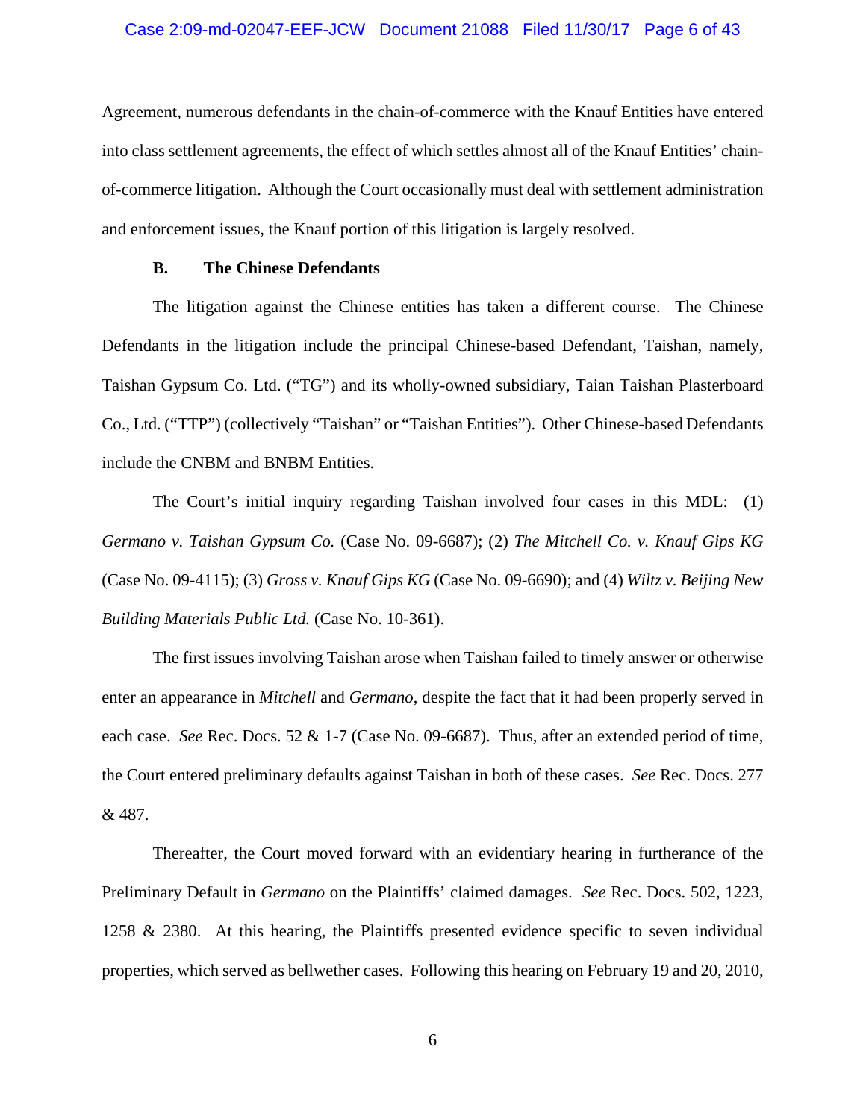### Case 2:09-md-02047-EEF-JCW Document 21088 Filed 11/30/17 Page 6 of 43

Agreement, numerous defendants in the chain-of-commerce with the Knauf Entities have entered into class settlement agreements, the effect of which settles almost all of the Knauf Entities' chainof-commerce litigation. Although the Court occasionally must deal with settlement administration and enforcement issues, the Knauf portion of this litigation is largely resolved.

### **B. The Chinese Defendants**

The litigation against the Chinese entities has taken a different course. The Chinese Defendants in the litigation include the principal Chinese-based Defendant, Taishan, namely, Taishan Gypsum Co. Ltd. ("TG") and its wholly-owned subsidiary, Taian Taishan Plasterboard Co., Ltd. ("TTP") (collectively "Taishan" or "Taishan Entities"). Other Chinese-based Defendants include the CNBM and BNBM Entities.

The Court's initial inquiry regarding Taishan involved four cases in this MDL: (1) *Germano v. Taishan Gypsum Co.* (Case No. 09-6687); (2) *The Mitchell Co. v. Knauf Gips KG* (Case No. 09-4115); (3) *Gross v. Knauf Gips KG* (Case No. 09-6690); and (4) *Wiltz v. Beijing New Building Materials Public Ltd.* (Case No. 10-361).

The first issues involving Taishan arose when Taishan failed to timely answer or otherwise enter an appearance in *Mitchell* and *Germano*, despite the fact that it had been properly served in each case. *See* Rec. Docs. 52 & 1-7 (Case No. 09-6687). Thus, after an extended period of time, the Court entered preliminary defaults against Taishan in both of these cases. *See* Rec. Docs. 277 & 487.

Thereafter, the Court moved forward with an evidentiary hearing in furtherance of the Preliminary Default in *Germano* on the Plaintiffs' claimed damages. *See* Rec. Docs. 502, 1223, 1258 & 2380. At this hearing, the Plaintiffs presented evidence specific to seven individual properties, which served as bellwether cases. Following this hearing on February 19 and 20, 2010,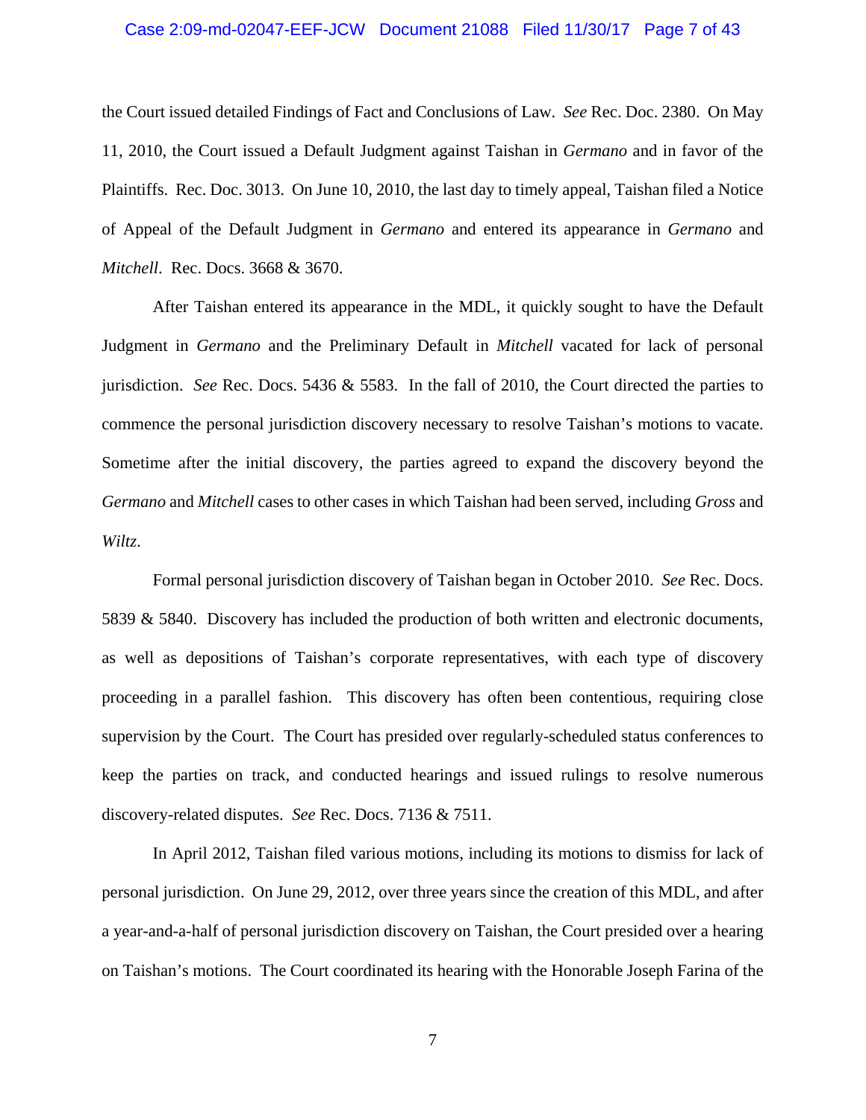### Case 2:09-md-02047-EEF-JCW Document 21088 Filed 11/30/17 Page 7 of 43

the Court issued detailed Findings of Fact and Conclusions of Law. *See* Rec. Doc. 2380. On May 11, 2010, the Court issued a Default Judgment against Taishan in *Germano* and in favor of the Plaintiffs. Rec. Doc. 3013. On June 10, 2010, the last day to timely appeal, Taishan filed a Notice of Appeal of the Default Judgment in *Germano* and entered its appearance in *Germano* and *Mitchell*. Rec. Docs. 3668 & 3670.

After Taishan entered its appearance in the MDL, it quickly sought to have the Default Judgment in *Germano* and the Preliminary Default in *Mitchell* vacated for lack of personal jurisdiction. *See* Rec. Docs. 5436 & 5583. In the fall of 2010, the Court directed the parties to commence the personal jurisdiction discovery necessary to resolve Taishan's motions to vacate. Sometime after the initial discovery, the parties agreed to expand the discovery beyond the *Germano* and *Mitchell* cases to other cases in which Taishan had been served, including *Gross* and *Wiltz*.

Formal personal jurisdiction discovery of Taishan began in October 2010. *See* Rec. Docs. 5839 & 5840. Discovery has included the production of both written and electronic documents, as well as depositions of Taishan's corporate representatives, with each type of discovery proceeding in a parallel fashion. This discovery has often been contentious, requiring close supervision by the Court. The Court has presided over regularly-scheduled status conferences to keep the parties on track, and conducted hearings and issued rulings to resolve numerous discovery-related disputes. *See* Rec. Docs. 7136 & 7511.

In April 2012, Taishan filed various motions, including its motions to dismiss for lack of personal jurisdiction. On June 29, 2012, over three years since the creation of this MDL, and after a year-and-a-half of personal jurisdiction discovery on Taishan, the Court presided over a hearing on Taishan's motions. The Court coordinated its hearing with the Honorable Joseph Farina of the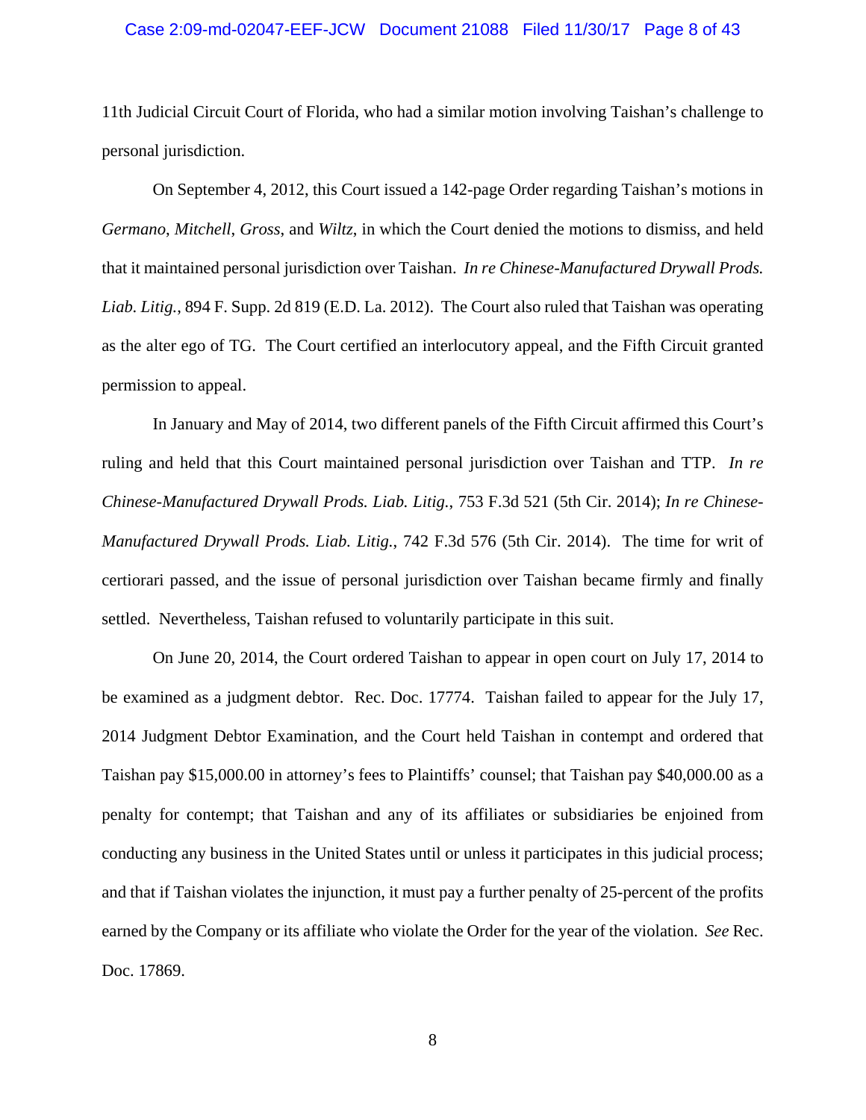### Case 2:09-md-02047-EEF-JCW Document 21088 Filed 11/30/17 Page 8 of 43

11th Judicial Circuit Court of Florida, who had a similar motion involving Taishan's challenge to personal jurisdiction.

On September 4, 2012, this Court issued a 142-page Order regarding Taishan's motions in *Germano*, *Mitchell*, *Gross*, and *Wiltz*, in which the Court denied the motions to dismiss, and held that it maintained personal jurisdiction over Taishan. *In re Chinese-Manufactured Drywall Prods. Liab. Litig.*, 894 F. Supp. 2d 819 (E.D. La. 2012). The Court also ruled that Taishan was operating as the alter ego of TG. The Court certified an interlocutory appeal, and the Fifth Circuit granted permission to appeal.

In January and May of 2014, two different panels of the Fifth Circuit affirmed this Court's ruling and held that this Court maintained personal jurisdiction over Taishan and TTP. *In re Chinese-Manufactured Drywall Prods. Liab. Litig.*, 753 F.3d 521 (5th Cir. 2014); *In re Chinese-Manufactured Drywall Prods. Liab. Litig.*, 742 F.3d 576 (5th Cir. 2014). The time for writ of certiorari passed, and the issue of personal jurisdiction over Taishan became firmly and finally settled. Nevertheless, Taishan refused to voluntarily participate in this suit.

On June 20, 2014, the Court ordered Taishan to appear in open court on July 17, 2014 to be examined as a judgment debtor. Rec. Doc. 17774. Taishan failed to appear for the July 17, 2014 Judgment Debtor Examination, and the Court held Taishan in contempt and ordered that Taishan pay \$15,000.00 in attorney's fees to Plaintiffs' counsel; that Taishan pay \$40,000.00 as a penalty for contempt; that Taishan and any of its affiliates or subsidiaries be enjoined from conducting any business in the United States until or unless it participates in this judicial process; and that if Taishan violates the injunction, it must pay a further penalty of 25-percent of the profits earned by the Company or its affiliate who violate the Order for the year of the violation. *See* Rec. Doc. 17869.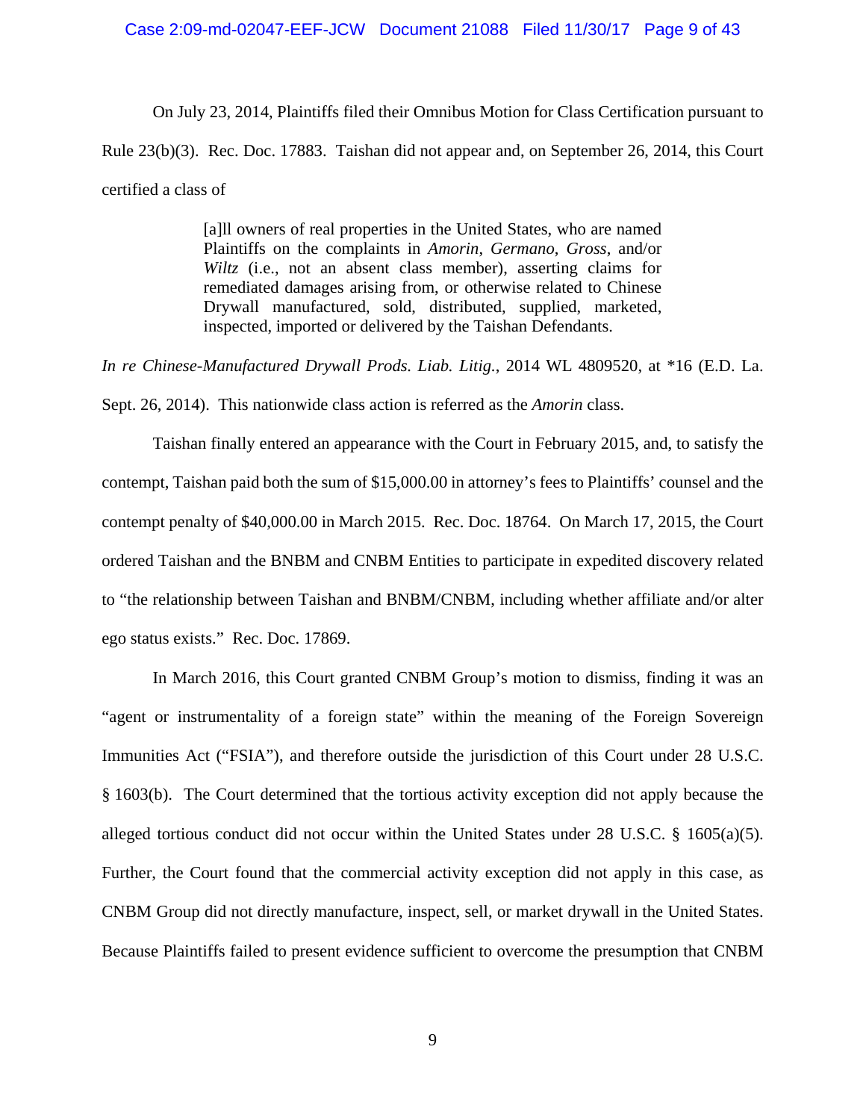### Case 2:09-md-02047-EEF-JCW Document 21088 Filed 11/30/17 Page 9 of 43

On July 23, 2014, Plaintiffs filed their Omnibus Motion for Class Certification pursuant to Rule 23(b)(3). Rec. Doc. 17883. Taishan did not appear and, on September 26, 2014, this Court certified a class of

> [a]ll owners of real properties in the United States, who are named Plaintiffs on the complaints in *Amorin*, *Germano*, *Gross*, and/or *Wiltz* (i.e., not an absent class member), asserting claims for remediated damages arising from, or otherwise related to Chinese Drywall manufactured, sold, distributed, supplied, marketed, inspected, imported or delivered by the Taishan Defendants.

*In re Chinese-Manufactured Drywall Prods. Liab. Litig.*, 2014 WL 4809520, at \*16 (E.D. La.

Sept. 26, 2014). This nationwide class action is referred as the *Amorin* class.

Taishan finally entered an appearance with the Court in February 2015, and, to satisfy the contempt, Taishan paid both the sum of \$15,000.00 in attorney's fees to Plaintiffs' counsel and the contempt penalty of \$40,000.00 in March 2015. Rec. Doc. 18764. On March 17, 2015, the Court ordered Taishan and the BNBM and CNBM Entities to participate in expedited discovery related to "the relationship between Taishan and BNBM/CNBM, including whether affiliate and/or alter ego status exists." Rec. Doc. 17869.

In March 2016, this Court granted CNBM Group's motion to dismiss, finding it was an "agent or instrumentality of a foreign state" within the meaning of the Foreign Sovereign Immunities Act ("FSIA"), and therefore outside the jurisdiction of this Court under 28 U.S.C. § 1603(b). The Court determined that the tortious activity exception did not apply because the alleged tortious conduct did not occur within the United States under 28 U.S.C. § 1605(a)(5). Further, the Court found that the commercial activity exception did not apply in this case, as CNBM Group did not directly manufacture, inspect, sell, or market drywall in the United States. Because Plaintiffs failed to present evidence sufficient to overcome the presumption that CNBM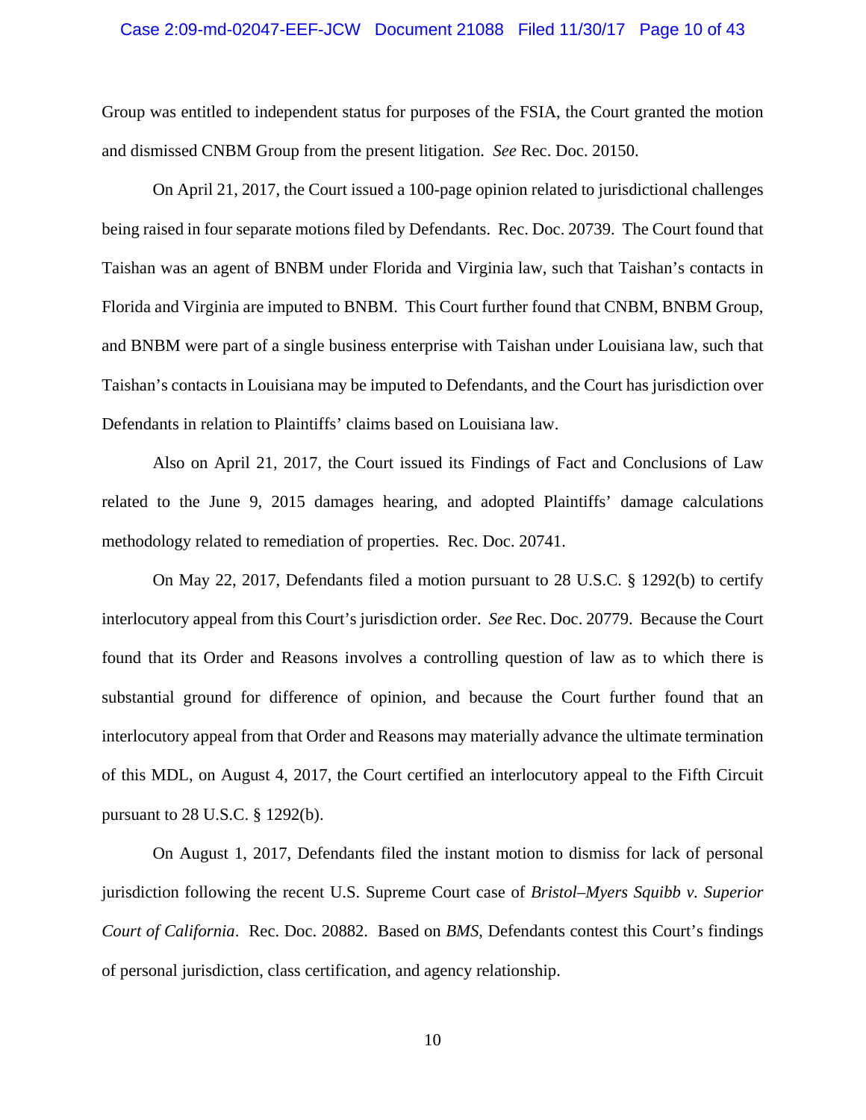### Case 2:09-md-02047-EEF-JCW Document 21088 Filed 11/30/17 Page 10 of 43

Group was entitled to independent status for purposes of the FSIA, the Court granted the motion and dismissed CNBM Group from the present litigation. *See* Rec. Doc. 20150.

On April 21, 2017, the Court issued a 100-page opinion related to jurisdictional challenges being raised in four separate motions filed by Defendants. Rec. Doc. 20739. The Court found that Taishan was an agent of BNBM under Florida and Virginia law, such that Taishan's contacts in Florida and Virginia are imputed to BNBM. This Court further found that CNBM, BNBM Group, and BNBM were part of a single business enterprise with Taishan under Louisiana law, such that Taishan's contacts in Louisiana may be imputed to Defendants, and the Court has jurisdiction over Defendants in relation to Plaintiffs' claims based on Louisiana law.

Also on April 21, 2017, the Court issued its Findings of Fact and Conclusions of Law related to the June 9, 2015 damages hearing, and adopted Plaintiffs' damage calculations methodology related to remediation of properties. Rec. Doc. 20741.

On May 22, 2017, Defendants filed a motion pursuant to 28 U.S.C. § 1292(b) to certify interlocutory appeal from this Court's jurisdiction order. *See* Rec. Doc. 20779. Because the Court found that its Order and Reasons involves a controlling question of law as to which there is substantial ground for difference of opinion, and because the Court further found that an interlocutory appeal from that Order and Reasons may materially advance the ultimate termination of this MDL, on August 4, 2017, the Court certified an interlocutory appeal to the Fifth Circuit pursuant to 28 U.S.C. § 1292(b).

On August 1, 2017, Defendants filed the instant motion to dismiss for lack of personal jurisdiction following the recent U.S. Supreme Court case of *Bristol–Myers Squibb v. Superior Court of California*. Rec. Doc. 20882. Based on *BMS*, Defendants contest this Court's findings of personal jurisdiction, class certification, and agency relationship.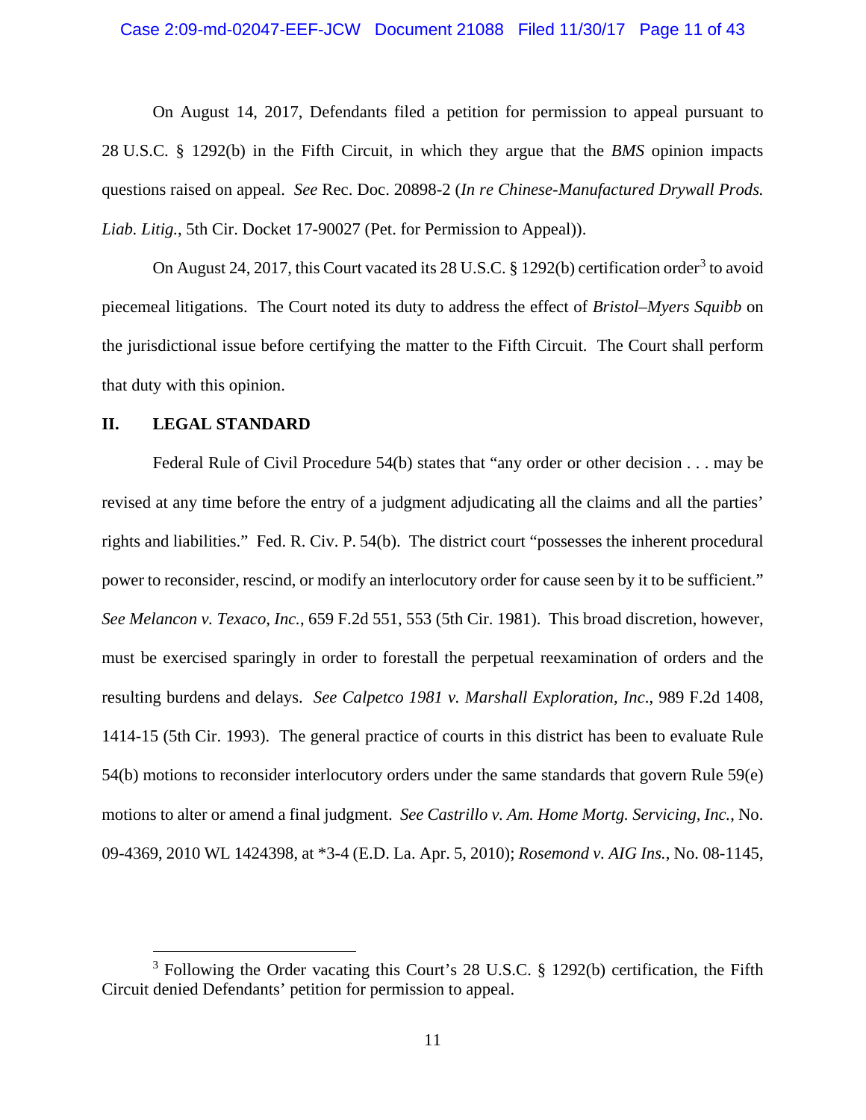### Case 2:09-md-02047-EEF-JCW Document 21088 Filed 11/30/17 Page 11 of 43

On August 14, 2017, Defendants filed a petition for permission to appeal pursuant to 28 U.S.C. § 1292(b) in the Fifth Circuit, in which they argue that the *BMS* opinion impacts questions raised on appeal. *See* Rec. Doc. 20898-2 (*In re Chinese-Manufactured Drywall Prods. Liab. Litig.*, 5th Cir. Docket 17-90027 (Pet. for Permission to Appeal)).

On August 24, 2017, this Court vacated its 28 U.S.C.  $\S$  1292(b) certification order<sup>3</sup> to avoid piecemeal litigations. The Court noted its duty to address the effect of *Bristol*–*Myers Squibb* on the jurisdictional issue before certifying the matter to the Fifth Circuit. The Court shall perform that duty with this opinion.

### **II. LEGAL STANDARD**

Federal Rule of Civil Procedure 54(b) states that "any order or other decision . . . may be revised at any time before the entry of a judgment adjudicating all the claims and all the parties' rights and liabilities." Fed. R. Civ. P. 54(b). The district court "possesses the inherent procedural power to reconsider, rescind, or modify an interlocutory order for cause seen by it to be sufficient." *See Melancon v. Texaco, Inc.*, 659 F.2d 551, 553 (5th Cir. 1981). This broad discretion, however, must be exercised sparingly in order to forestall the perpetual reexamination of orders and the resulting burdens and delays. *See Calpetco 1981 v. Marshall Exploration, Inc*., 989 F.2d 1408, 1414-15 (5th Cir. 1993). The general practice of courts in this district has been to evaluate Rule 54(b) motions to reconsider interlocutory orders under the same standards that govern Rule 59(e) motions to alter or amend a final judgment. *See Castrillo v. Am. Home Mortg. Servicing, Inc.*, No. 09-4369, 2010 WL 1424398, at \*3-4 (E.D. La. Apr. 5, 2010); *Rosemond v. AIG Ins.*, No. 08-1145,

<sup>&</sup>lt;sup>3</sup> Following the Order vacating this Court's 28 U.S.C. § 1292(b) certification, the Fifth Circuit denied Defendants' petition for permission to appeal.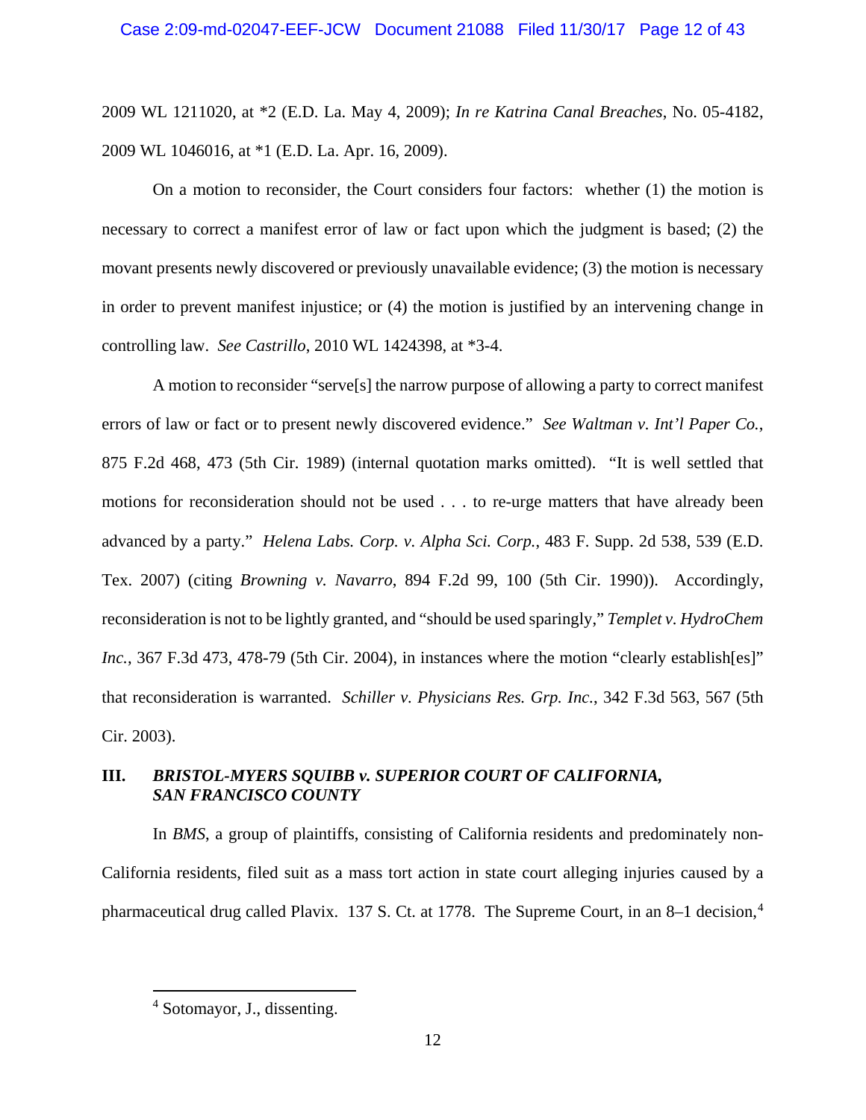2009 WL 1211020, at \*2 (E.D. La. May 4, 2009); *In re Katrina Canal Breaches*, No. 05-4182, 2009 WL 1046016, at \*1 (E.D. La. Apr. 16, 2009).

On a motion to reconsider, the Court considers four factors: whether (1) the motion is necessary to correct a manifest error of law or fact upon which the judgment is based; (2) the movant presents newly discovered or previously unavailable evidence; (3) the motion is necessary in order to prevent manifest injustice; or (4) the motion is justified by an intervening change in controlling law. *See Castrillo*, 2010 WL 1424398, at \*3-4.

A motion to reconsider "serve[s] the narrow purpose of allowing a party to correct manifest errors of law or fact or to present newly discovered evidence." *See Waltman v. Int'l Paper Co.*, 875 F.2d 468, 473 (5th Cir. 1989) (internal quotation marks omitted). "It is well settled that motions for reconsideration should not be used . . . to re-urge matters that have already been advanced by a party." *Helena Labs. Corp. v. Alpha Sci. Corp.*, 483 F. Supp. 2d 538, 539 (E.D. Tex. 2007) (citing *Browning v. Navarro*, 894 F.2d 99, 100 (5th Cir. 1990)). Accordingly, reconsideration is not to be lightly granted, and "should be used sparingly," *Templet v. HydroChem Inc.*, 367 F.3d 473, 478-79 (5th Cir. 2004), in instances where the motion "clearly establish[es]" that reconsideration is warranted. *Schiller v. Physicians Res. Grp. Inc.*, 342 F.3d 563, 567 (5th Cir. 2003).

# **III.** *BRISTOL-MYERS SQUIBB v. SUPERIOR COURT OF CALIFORNIA, SAN FRANCISCO COUNTY*

In *BMS*, a group of plaintiffs, consisting of California residents and predominately non-California residents, filed suit as a mass tort action in state court alleging injuries caused by a pharmaceutical drug called Plavix. 137 S. Ct. at 1778. The Supreme Court, in an 8–1 decision,<sup>4</sup>

 <sup>4</sup> Sotomayor, J., dissenting.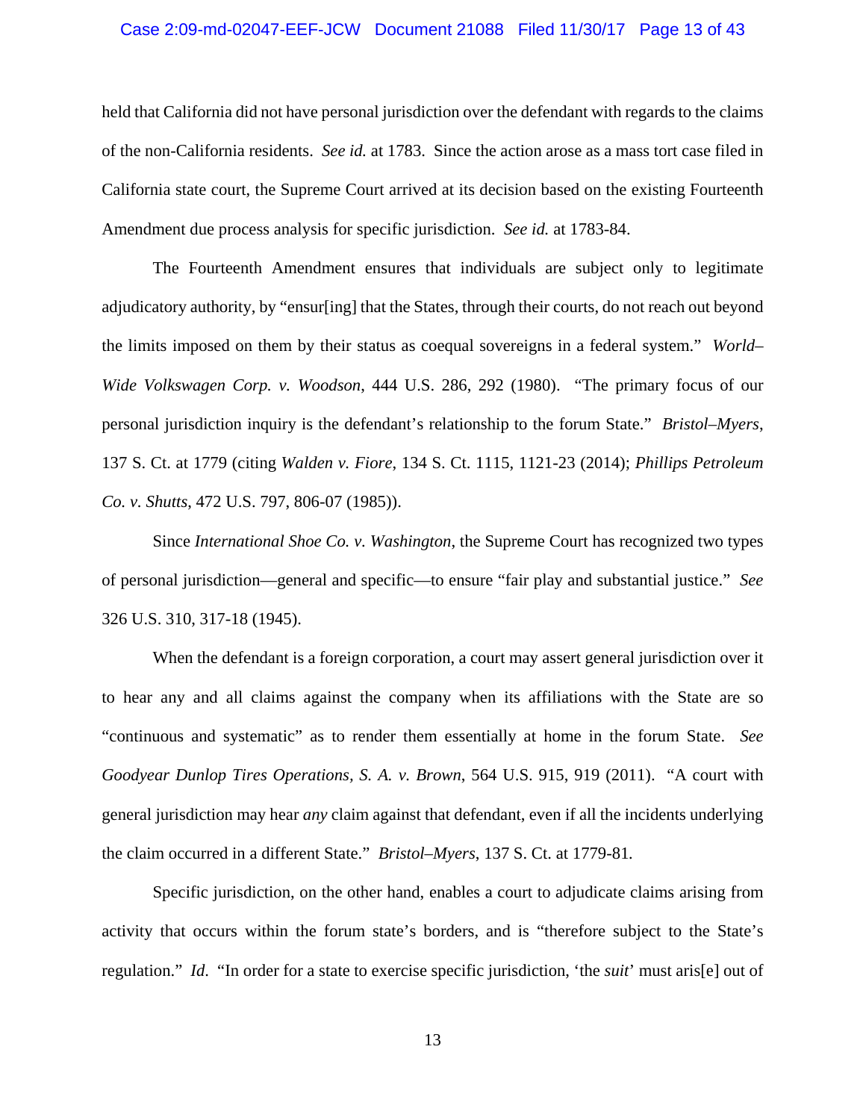### Case 2:09-md-02047-EEF-JCW Document 21088 Filed 11/30/17 Page 13 of 43

held that California did not have personal jurisdiction over the defendant with regards to the claims of the non-California residents. *See id.* at 1783. Since the action arose as a mass tort case filed in California state court, the Supreme Court arrived at its decision based on the existing Fourteenth Amendment due process analysis for specific jurisdiction. *See id.* at 1783*-*84.

The Fourteenth Amendment ensures that individuals are subject only to legitimate adjudicatory authority, by "ensur[ing] that the States, through their courts, do not reach out beyond the limits imposed on them by their status as coequal sovereigns in a federal system." *World– Wide Volkswagen Corp. v. Woodson*, 444 U.S. 286, 292 (1980). "The primary focus of our personal jurisdiction inquiry is the defendant's relationship to the forum State." *Bristol–Myers*, 137 S. Ct. at 1779 (citing *Walden v. Fiore*, 134 S. Ct. 1115, 1121-23 (2014); *Phillips Petroleum Co. v. Shutts*, 472 U.S. 797, 806-07 (1985)).

Since *International Shoe Co. v. Washington*, the Supreme Court has recognized two types of personal jurisdiction—general and specific—to ensure "fair play and substantial justice." *See*  326 U.S. 310, 317-18 (1945).

When the defendant is a foreign corporation, a court may assert general jurisdiction over it to hear any and all claims against the company when its affiliations with the State are so "continuous and systematic" as to render them essentially at home in the forum State. *See Goodyear Dunlop Tires Operations, S. A. v. Brown*, 564 U.S. 915, 919 (2011). "A court with general jurisdiction may hear *any* claim against that defendant, even if all the incidents underlying the claim occurred in a different State." *Bristol–Myers*, 137 S. Ct. at 1779-81*.* 

Specific jurisdiction, on the other hand, enables a court to adjudicate claims arising from activity that occurs within the forum state's borders, and is "therefore subject to the State's regulation." *Id*. "In order for a state to exercise specific jurisdiction, 'the *suit*' must aris[e] out of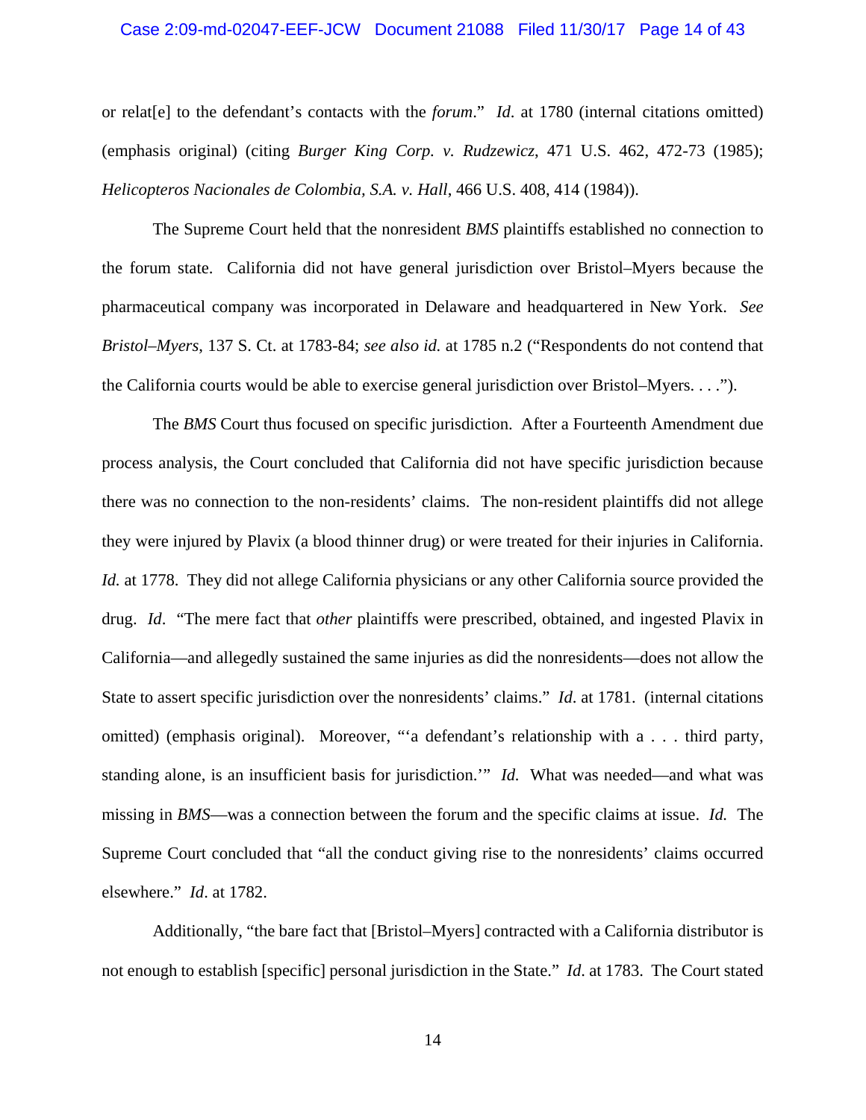### Case 2:09-md-02047-EEF-JCW Document 21088 Filed 11/30/17 Page 14 of 43

or relat[e] to the defendant's contacts with the *forum*." *Id*. at 1780 (internal citations omitted) (emphasis original) (citing *Burger King Corp. v. Rudzewicz*, 471 U.S. 462, 472-73 (1985); *Helicopteros Nacionales de Colombia, S.A. v. Hall*, 466 U.S. 408, 414 (1984)).

The Supreme Court held that the nonresident *BMS* plaintiffs established no connection to the forum state. California did not have general jurisdiction over Bristol–Myers because the pharmaceutical company was incorporated in Delaware and headquartered in New York. *See Bristol–Myers*, 137 S. Ct. at 1783-84; *see also id.* at 1785 n.2 ("Respondents do not contend that the California courts would be able to exercise general jurisdiction over Bristol–Myers. . . .").

The *BMS* Court thus focused on specific jurisdiction. After a Fourteenth Amendment due process analysis, the Court concluded that California did not have specific jurisdiction because there was no connection to the non-residents' claims. The non-resident plaintiffs did not allege they were injured by Plavix (a blood thinner drug) or were treated for their injuries in California. *Id.* at 1778. They did not allege California physicians or any other California source provided the drug. *Id*. "The mere fact that *other* plaintiffs were prescribed, obtained, and ingested Plavix in California—and allegedly sustained the same injuries as did the nonresidents—does not allow the State to assert specific jurisdiction over the nonresidents' claims." *Id*. at 1781. (internal citations omitted) (emphasis original). Moreover, "'a defendant's relationship with a . . . third party, standing alone, is an insufficient basis for jurisdiction.'" *Id.* What was needed—and what was missing in *BMS*—was a connection between the forum and the specific claims at issue. *Id.* The Supreme Court concluded that "all the conduct giving rise to the nonresidents' claims occurred elsewhere." *Id*. at 1782.

Additionally, "the bare fact that [Bristol–Myers] contracted with a California distributor is not enough to establish [specific] personal jurisdiction in the State." *Id*. at 1783. The Court stated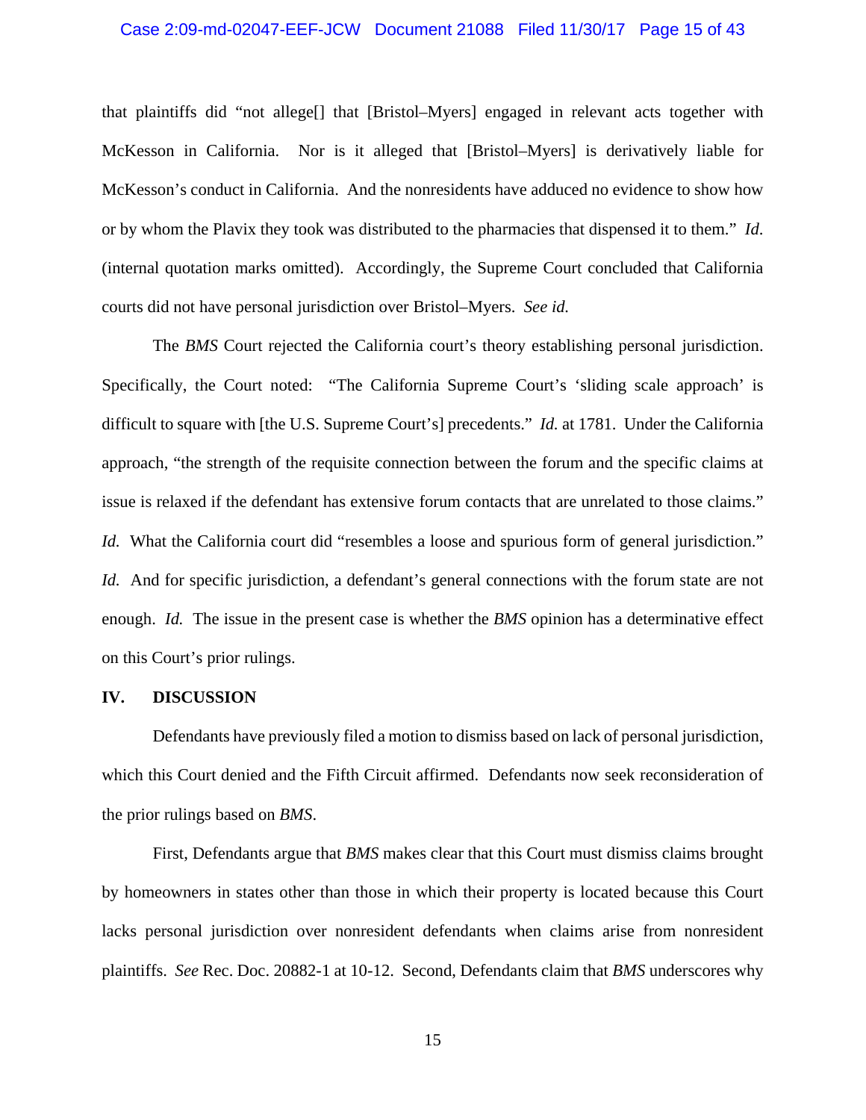### Case 2:09-md-02047-EEF-JCW Document 21088 Filed 11/30/17 Page 15 of 43

that plaintiffs did "not allege[] that [Bristol–Myers] engaged in relevant acts together with McKesson in California. Nor is it alleged that [Bristol–Myers] is derivatively liable for McKesson's conduct in California. And the nonresidents have adduced no evidence to show how or by whom the Plavix they took was distributed to the pharmacies that dispensed it to them." *Id*. (internal quotation marks omitted). Accordingly, the Supreme Court concluded that California courts did not have personal jurisdiction over Bristol*–*Myers. *See id.*

The *BMS* Court rejected the California court's theory establishing personal jurisdiction. Specifically, the Court noted: "The California Supreme Court's 'sliding scale approach' is difficult to square with [the U.S. Supreme Court's] precedents." *Id.* at 1781. Under the California approach, "the strength of the requisite connection between the forum and the specific claims at issue is relaxed if the defendant has extensive forum contacts that are unrelated to those claims." *Id.* What the California court did "resembles a loose and spurious form of general jurisdiction." *Id.* And for specific jurisdiction, a defendant's general connections with the forum state are not enough. *Id.* The issue in the present case is whether the *BMS* opinion has a determinative effect on this Court's prior rulings.

#### **IV. DISCUSSION**

Defendants have previously filed a motion to dismiss based on lack of personal jurisdiction, which this Court denied and the Fifth Circuit affirmed. Defendants now seek reconsideration of the prior rulings based on *BMS*.

First, Defendants argue that *BMS* makes clear that this Court must dismiss claims brought by homeowners in states other than those in which their property is located because this Court lacks personal jurisdiction over nonresident defendants when claims arise from nonresident plaintiffs. *See* Rec. Doc. 20882-1 at 10-12. Second, Defendants claim that *BMS* underscores why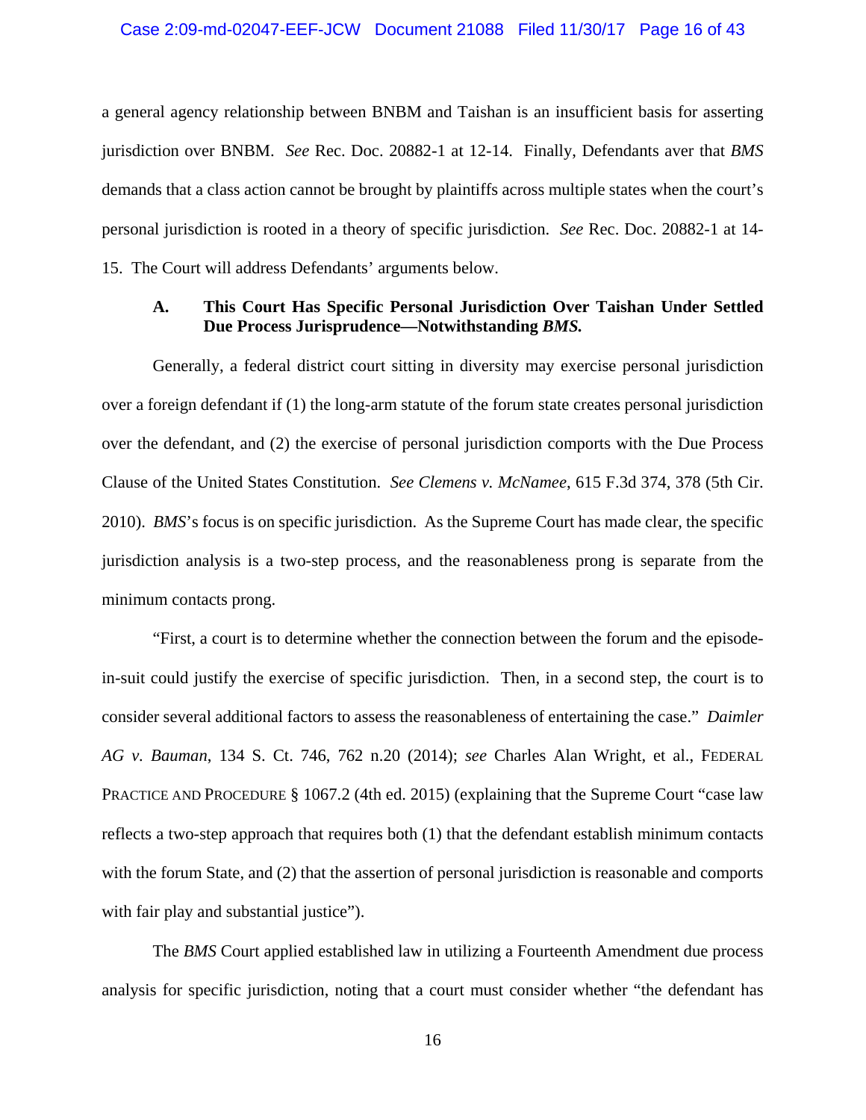### Case 2:09-md-02047-EEF-JCW Document 21088 Filed 11/30/17 Page 16 of 43

a general agency relationship between BNBM and Taishan is an insufficient basis for asserting jurisdiction over BNBM. *See* Rec. Doc. 20882-1 at 12-14. Finally, Defendants aver that *BMS*  demands that a class action cannot be brought by plaintiffs across multiple states when the court's personal jurisdiction is rooted in a theory of specific jurisdiction. *See* Rec. Doc. 20882-1 at 14- 15. The Court will address Defendants' arguments below.

### **A. This Court Has Specific Personal Jurisdiction Over Taishan Under Settled Due Process Jurisprudence—Notwithstanding** *BMS.*

Generally, a federal district court sitting in diversity may exercise personal jurisdiction over a foreign defendant if (1) the long-arm statute of the forum state creates personal jurisdiction over the defendant, and (2) the exercise of personal jurisdiction comports with the Due Process Clause of the United States Constitution. *See Clemens v. McNamee*, 615 F.3d 374, 378 (5th Cir. 2010). *BMS*'s focus is on specific jurisdiction. As the Supreme Court has made clear, the specific jurisdiction analysis is a two-step process, and the reasonableness prong is separate from the minimum contacts prong.

"First, a court is to determine whether the connection between the forum and the episodein-suit could justify the exercise of specific jurisdiction. Then, in a second step, the court is to consider several additional factors to assess the reasonableness of entertaining the case." *Daimler AG v. Bauman*, 134 S. Ct. 746, 762 n.20 (2014); *see* Charles Alan Wright, et al., FEDERAL PRACTICE AND PROCEDURE § 1067.2 (4th ed. 2015) (explaining that the Supreme Court "case law reflects a two-step approach that requires both (1) that the defendant establish minimum contacts with the forum State, and (2) that the assertion of personal jurisdiction is reasonable and comports with fair play and substantial justice".

The *BMS* Court applied established law in utilizing a Fourteenth Amendment due process analysis for specific jurisdiction, noting that a court must consider whether "the defendant has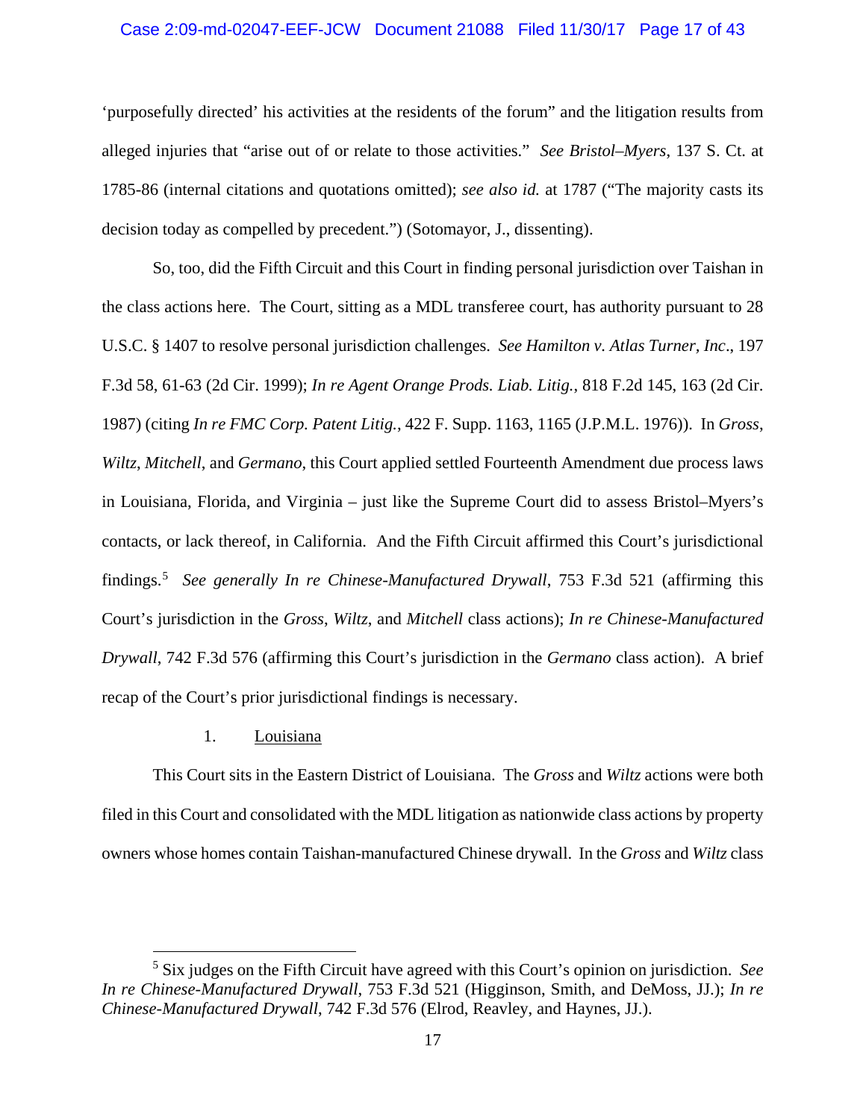### Case 2:09-md-02047-EEF-JCW Document 21088 Filed 11/30/17 Page 17 of 43

'purposefully directed' his activities at the residents of the forum" and the litigation results from alleged injuries that "arise out of or relate to those activities." *See Bristol–Myers*, 137 S. Ct. at 1785-86 (internal citations and quotations omitted); *see also id.* at 1787 ("The majority casts its decision today as compelled by precedent.") (Sotomayor, J., dissenting).

So, too, did the Fifth Circuit and this Court in finding personal jurisdiction over Taishan in the class actions here. The Court, sitting as a MDL transferee court, has authority pursuant to 28 U.S.C. § 1407 to resolve personal jurisdiction challenges. *See Hamilton v. Atlas Turner, Inc*., 197 F.3d 58, 61-63 (2d Cir. 1999); *In re Agent Orange Prods. Liab. Litig.*, 818 F.2d 145, 163 (2d Cir. 1987) (citing *In re FMC Corp. Patent Litig.*, 422 F. Supp. 1163, 1165 (J.P.M.L. 1976)). In *Gross*, *Wiltz*, *Mitchell*, and *Germano*, this Court applied settled Fourteenth Amendment due process laws in Louisiana, Florida, and Virginia – just like the Supreme Court did to assess Bristol–Myers's contacts, or lack thereof, in California. And the Fifth Circuit affirmed this Court's jurisdictional findings.<sup>5</sup> *See generally In re Chinese-Manufactured Drywall*, 753 F.3d 521 (affirming this Court's jurisdiction in the *Gross*, *Wiltz*, and *Mitchell* class actions); *In re Chinese-Manufactured Drywall*, 742 F.3d 576 (affirming this Court's jurisdiction in the *Germano* class action). A brief recap of the Court's prior jurisdictional findings is necessary.

#### 1. Louisiana

This Court sits in the Eastern District of Louisiana. The *Gross* and *Wiltz* actions were both filed in this Court and consolidated with the MDL litigation as nationwide class actions by property owners whose homes contain Taishan-manufactured Chinese drywall. In the *Gross* and *Wiltz* class

 <sup>5</sup> Six judges on the Fifth Circuit have agreed with this Court's opinion on jurisdiction. *See In re Chinese-Manufactured Drywall*, 753 F.3d 521 (Higginson, Smith, and DeMoss, JJ.); *In re Chinese-Manufactured Drywall*, 742 F.3d 576 (Elrod, Reavley, and Haynes, JJ.).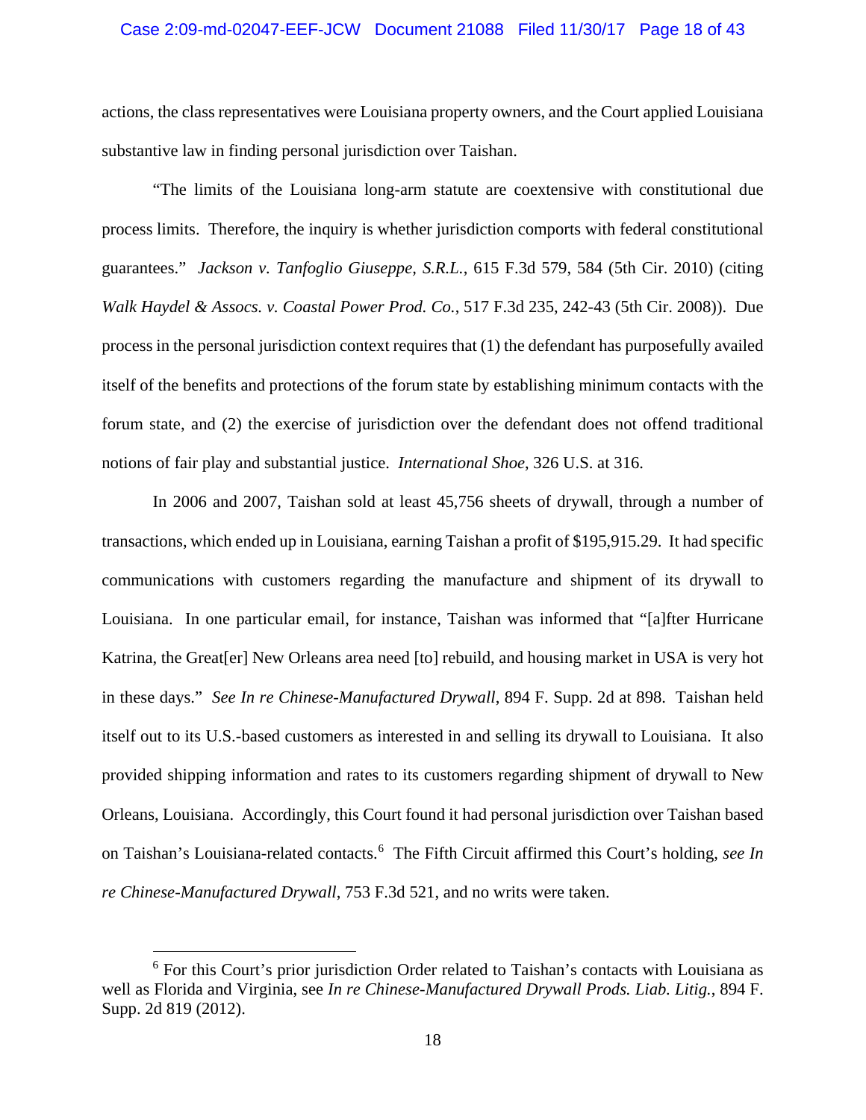#### Case 2:09-md-02047-EEF-JCW Document 21088 Filed 11/30/17 Page 18 of 43

actions, the class representatives were Louisiana property owners, and the Court applied Louisiana substantive law in finding personal jurisdiction over Taishan.

"The limits of the Louisiana long-arm statute are coextensive with constitutional due process limits. Therefore, the inquiry is whether jurisdiction comports with federal constitutional guarantees." *Jackson v. Tanfoglio Giuseppe, S.R.L.*, 615 F.3d 579, 584 (5th Cir. 2010) (citing *Walk Haydel & Assocs. v. Coastal Power Prod. Co.*, 517 F.3d 235, 242-43 (5th Cir. 2008)). Due process in the personal jurisdiction context requires that (1) the defendant has purposefully availed itself of the benefits and protections of the forum state by establishing minimum contacts with the forum state, and (2) the exercise of jurisdiction over the defendant does not offend traditional notions of fair play and substantial justice. *International Shoe*, 326 U.S. at 316.

In 2006 and 2007, Taishan sold at least 45,756 sheets of drywall, through a number of transactions, which ended up in Louisiana, earning Taishan a profit of \$195,915.29. It had specific communications with customers regarding the manufacture and shipment of its drywall to Louisiana. In one particular email, for instance, Taishan was informed that "[a]fter Hurricane Katrina, the Great[er] New Orleans area need [to] rebuild, and housing market in USA is very hot in these days." *See In re Chinese-Manufactured Drywall*, 894 F. Supp. 2d at 898. Taishan held itself out to its U.S.-based customers as interested in and selling its drywall to Louisiana. It also provided shipping information and rates to its customers regarding shipment of drywall to New Orleans, Louisiana. Accordingly, this Court found it had personal jurisdiction over Taishan based on Taishan's Louisiana-related contacts.<sup>6</sup> The Fifth Circuit affirmed this Court's holding, *see In re Chinese-Manufactured Drywall*, 753 F.3d 521, and no writs were taken.

 <sup>6</sup> For this Court's prior jurisdiction Order related to Taishan's contacts with Louisiana as well as Florida and Virginia, see *In re Chinese-Manufactured Drywall Prods. Liab. Litig.*, 894 F. Supp. 2d 819 (2012).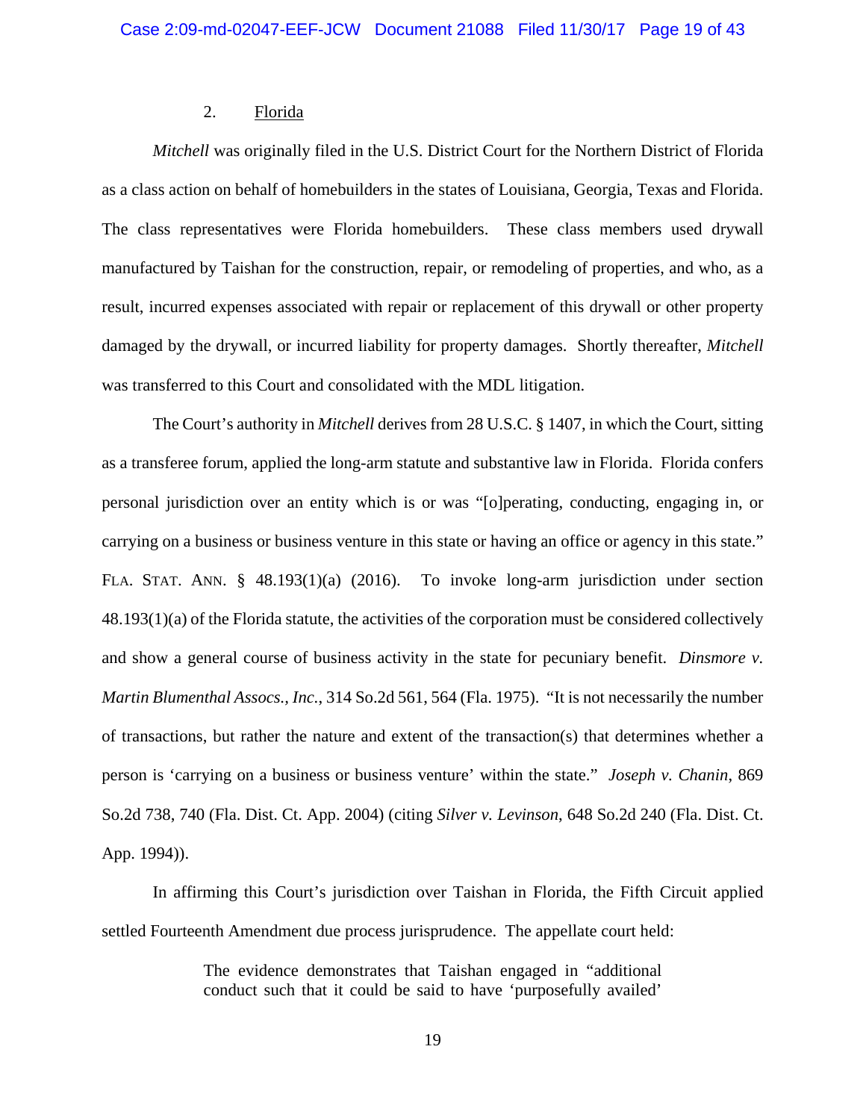## 2. Florida

*Mitchell* was originally filed in the U.S. District Court for the Northern District of Florida as a class action on behalf of homebuilders in the states of Louisiana, Georgia, Texas and Florida. The class representatives were Florida homebuilders. These class members used drywall manufactured by Taishan for the construction, repair, or remodeling of properties, and who, as a result, incurred expenses associated with repair or replacement of this drywall or other property damaged by the drywall, or incurred liability for property damages. Shortly thereafter, *Mitchell*  was transferred to this Court and consolidated with the MDL litigation.

The Court's authority in *Mitchell* derives from 28 U.S.C. § 1407, in which the Court, sitting as a transferee forum, applied the long-arm statute and substantive law in Florida. Florida confers personal jurisdiction over an entity which is or was "[o]perating, conducting, engaging in, or carrying on a business or business venture in this state or having an office or agency in this state." FLA. STAT. ANN. § 48.193(1)(a) (2016). To invoke long-arm jurisdiction under section 48.193(1)(a) of the Florida statute, the activities of the corporation must be considered collectively and show a general course of business activity in the state for pecuniary benefit. *Dinsmore v. Martin Blumenthal Assocs., Inc.*, 314 So.2d 561, 564 (Fla. 1975). "It is not necessarily the number of transactions, but rather the nature and extent of the transaction(s) that determines whether a person is 'carrying on a business or business venture' within the state." *Joseph v. Chanin*, 869 So.2d 738, 740 (Fla. Dist. Ct. App. 2004) (citing *Silver v. Levinson*, 648 So.2d 240 (Fla. Dist. Ct. App. 1994)).

In affirming this Court's jurisdiction over Taishan in Florida, the Fifth Circuit applied settled Fourteenth Amendment due process jurisprudence. The appellate court held:

> The evidence demonstrates that Taishan engaged in "additional conduct such that it could be said to have 'purposefully availed'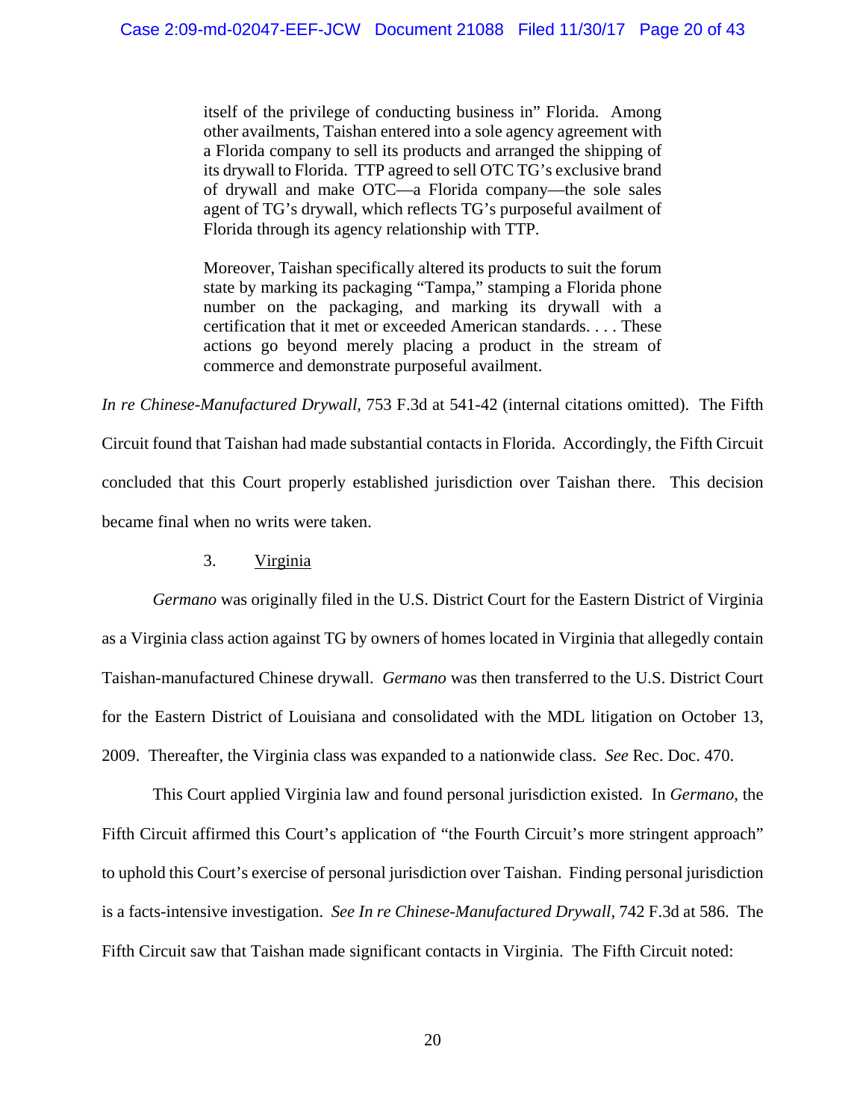itself of the privilege of conducting business in" Florida*.* Among other availments, Taishan entered into a sole agency agreement with a Florida company to sell its products and arranged the shipping of its drywall to Florida. TTP agreed to sell OTC TG's exclusive brand of drywall and make OTC—a Florida company—the sole sales agent of TG's drywall, which reflects TG's purposeful availment of Florida through its agency relationship with TTP.

Moreover, Taishan specifically altered its products to suit the forum state by marking its packaging "Tampa," stamping a Florida phone number on the packaging, and marking its drywall with a certification that it met or exceeded American standards. . . . These actions go beyond merely placing a product in the stream of commerce and demonstrate purposeful availment.

*In re Chinese-Manufactured Drywall*, 753 F.3d at 541-42 (internal citations omitted). The Fifth Circuit found that Taishan had made substantial contacts in Florida. Accordingly, the Fifth Circuit concluded that this Court properly established jurisdiction over Taishan there. This decision became final when no writs were taken.

3. Virginia

*Germano* was originally filed in the U.S. District Court for the Eastern District of Virginia as a Virginia class action against TG by owners of homes located in Virginia that allegedly contain Taishan-manufactured Chinese drywall. *Germano* was then transferred to the U.S. District Court for the Eastern District of Louisiana and consolidated with the MDL litigation on October 13, 2009. Thereafter, the Virginia class was expanded to a nationwide class. *See* Rec. Doc. 470.

This Court applied Virginia law and found personal jurisdiction existed. In *Germano*, the Fifth Circuit affirmed this Court's application of "the Fourth Circuit's more stringent approach" to uphold this Court's exercise of personal jurisdiction over Taishan. Finding personal jurisdiction is a facts-intensive investigation. *See In re Chinese-Manufactured Drywall*, 742 F.3d at 586. The Fifth Circuit saw that Taishan made significant contacts in Virginia. The Fifth Circuit noted: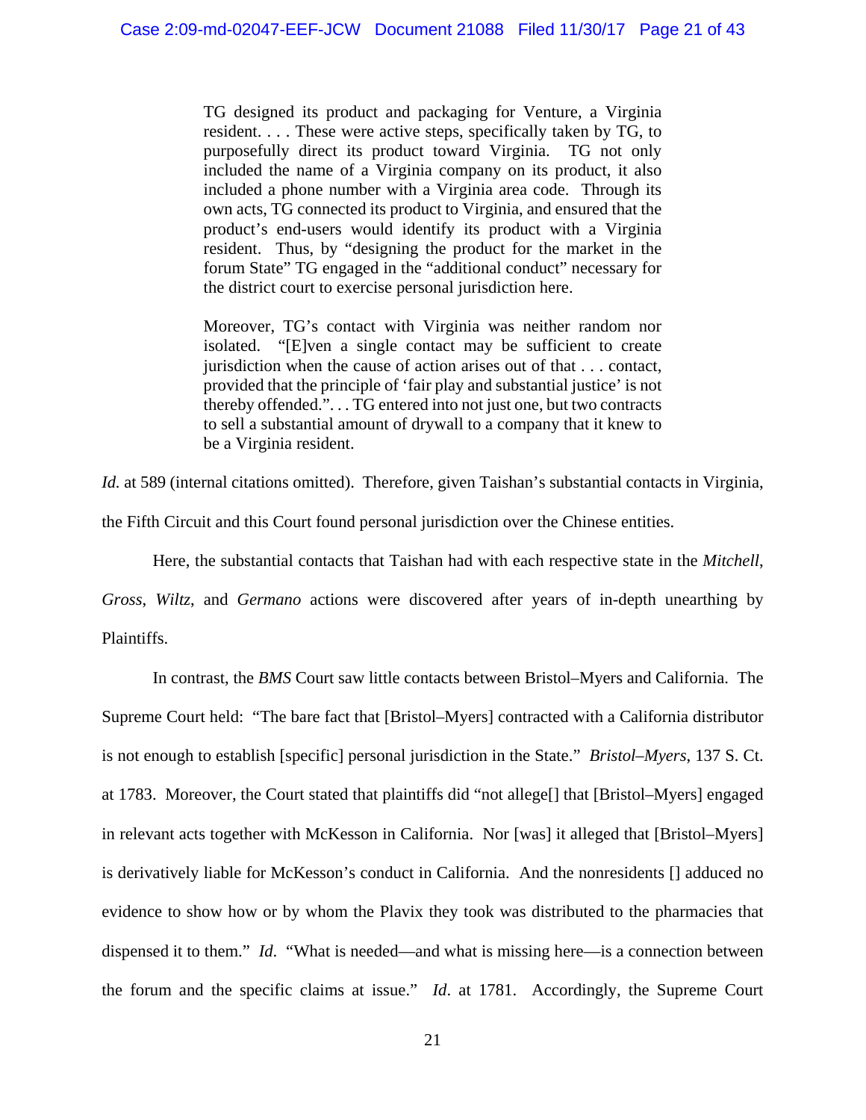TG designed its product and packaging for Venture, a Virginia resident. . . . These were active steps, specifically taken by TG, to purposefully direct its product toward Virginia. TG not only included the name of a Virginia company on its product, it also included a phone number with a Virginia area code. Through its own acts, TG connected its product to Virginia, and ensured that the product's end-users would identify its product with a Virginia resident. Thus, by "designing the product for the market in the forum State" TG engaged in the "additional conduct" necessary for the district court to exercise personal jurisdiction here.

Moreover, TG's contact with Virginia was neither random nor isolated. "[E]ven a single contact may be sufficient to create jurisdiction when the cause of action arises out of that . . . contact, provided that the principle of 'fair play and substantial justice' is not thereby offended.". . . TG entered into not just one, but two contracts to sell a substantial amount of drywall to a company that it knew to be a Virginia resident.

*Id.* at 589 (internal citations omitted). Therefore, given Taishan's substantial contacts in Virginia,

the Fifth Circuit and this Court found personal jurisdiction over the Chinese entities.

Here, the substantial contacts that Taishan had with each respective state in the *Mitchell*,

*Gross*, *Wiltz*, and *Germano* actions were discovered after years of in-depth unearthing by Plaintiffs.

In contrast, the *BMS* Court saw little contacts between Bristol–Myers and California. The Supreme Court held: "The bare fact that [Bristol–Myers] contracted with a California distributor is not enough to establish [specific] personal jurisdiction in the State." *Bristol–Myers*, 137 S. Ct. at 1783. Moreover, the Court stated that plaintiffs did "not allege[] that [Bristol–Myers] engaged in relevant acts together with McKesson in California. Nor [was] it alleged that [Bristol–Myers] is derivatively liable for McKesson's conduct in California. And the nonresidents [] adduced no evidence to show how or by whom the Plavix they took was distributed to the pharmacies that dispensed it to them." *Id*. "What is needed—and what is missing here—is a connection between the forum and the specific claims at issue." *Id*. at 1781. Accordingly, the Supreme Court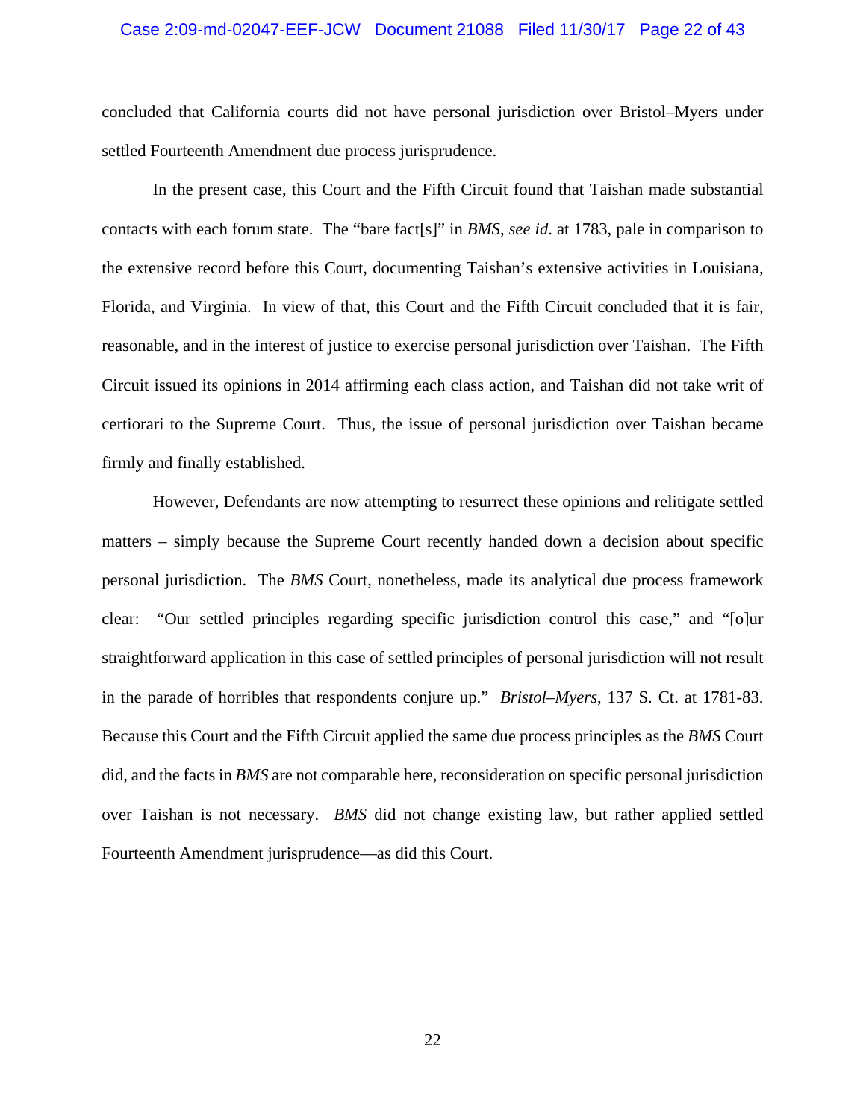### Case 2:09-md-02047-EEF-JCW Document 21088 Filed 11/30/17 Page 22 of 43

concluded that California courts did not have personal jurisdiction over Bristol*–*Myers under settled Fourteenth Amendment due process jurisprudence.

In the present case, this Court and the Fifth Circuit found that Taishan made substantial contacts with each forum state. The "bare fact[s]" in *BMS*, *see id*. at 1783, pale in comparison to the extensive record before this Court, documenting Taishan's extensive activities in Louisiana, Florida, and Virginia. In view of that, this Court and the Fifth Circuit concluded that it is fair, reasonable, and in the interest of justice to exercise personal jurisdiction over Taishan. The Fifth Circuit issued its opinions in 2014 affirming each class action, and Taishan did not take writ of certiorari to the Supreme Court. Thus, the issue of personal jurisdiction over Taishan became firmly and finally established.

However, Defendants are now attempting to resurrect these opinions and relitigate settled matters – simply because the Supreme Court recently handed down a decision about specific personal jurisdiction. The *BMS* Court, nonetheless, made its analytical due process framework clear: "Our settled principles regarding specific jurisdiction control this case," and "[o]ur straightforward application in this case of settled principles of personal jurisdiction will not result in the parade of horribles that respondents conjure up." *Bristol–Myers*, 137 S. Ct. at 1781-83. Because this Court and the Fifth Circuit applied the same due process principles as the *BMS* Court did, and the facts in *BMS* are not comparable here, reconsideration on specific personal jurisdiction over Taishan is not necessary. *BMS* did not change existing law, but rather applied settled Fourteenth Amendment jurisprudence—as did this Court.

22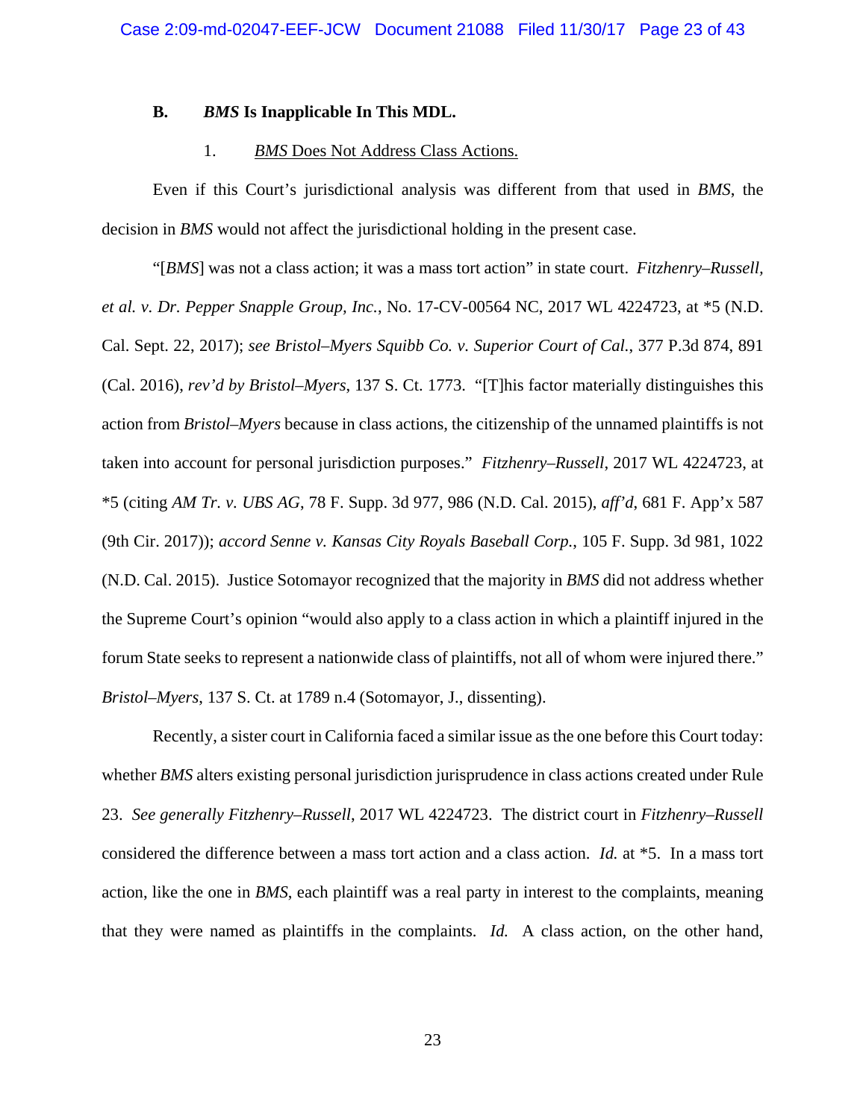### **B.** *BMS* **Is Inapplicable In This MDL.**

### 1. *BMS* Does Not Address Class Actions.

Even if this Court's jurisdictional analysis was different from that used in *BMS*, the decision in *BMS* would not affect the jurisdictional holding in the present case.

"[*BMS*] was not a class action; it was a mass tort action" in state court. *Fitzhenry–Russell, et al. v. Dr. Pepper Snapple Group, Inc.*, No. 17-CV-00564 NC, 2017 WL 4224723, at \*5 (N.D. Cal. Sept. 22, 2017); *see Bristol–Myers Squibb Co. v. Superior Court of Cal.*, 377 P.3d 874, 891 (Cal. 2016), *rev'd by Bristol–Myers*, 137 S. Ct. 1773. "[T]his factor materially distinguishes this action from *Bristol–Myers* because in class actions, the citizenship of the unnamed plaintiffs is not taken into account for personal jurisdiction purposes." *Fitzhenry–Russell*, 2017 WL 4224723, at \*5 (citing *AM Tr. v. UBS AG*, 78 F. Supp. 3d 977, 986 (N.D. Cal. 2015), *aff'd*, 681 F. App'x 587 (9th Cir. 2017)); *accord Senne v. Kansas City Royals Baseball Corp.*, 105 F. Supp. 3d 981, 1022 (N.D. Cal. 2015). Justice Sotomayor recognized that the majority in *BMS* did not address whether the Supreme Court's opinion "would also apply to a class action in which a plaintiff injured in the forum State seeks to represent a nationwide class of plaintiffs, not all of whom were injured there." *Bristol–Myers*, 137 S. Ct. at 1789 n.4 (Sotomayor, J., dissenting).

Recently, a sister court in California faced a similar issue as the one before this Court today: whether *BMS* alters existing personal jurisdiction jurisprudence in class actions created under Rule 23. *See generally Fitzhenry–Russell*, 2017 WL 4224723. The district court in *Fitzhenry–Russell* considered the difference between a mass tort action and a class action. *Id.* at \*5. In a mass tort action, like the one in *BMS*, each plaintiff was a real party in interest to the complaints, meaning that they were named as plaintiffs in the complaints. *Id.* A class action, on the other hand,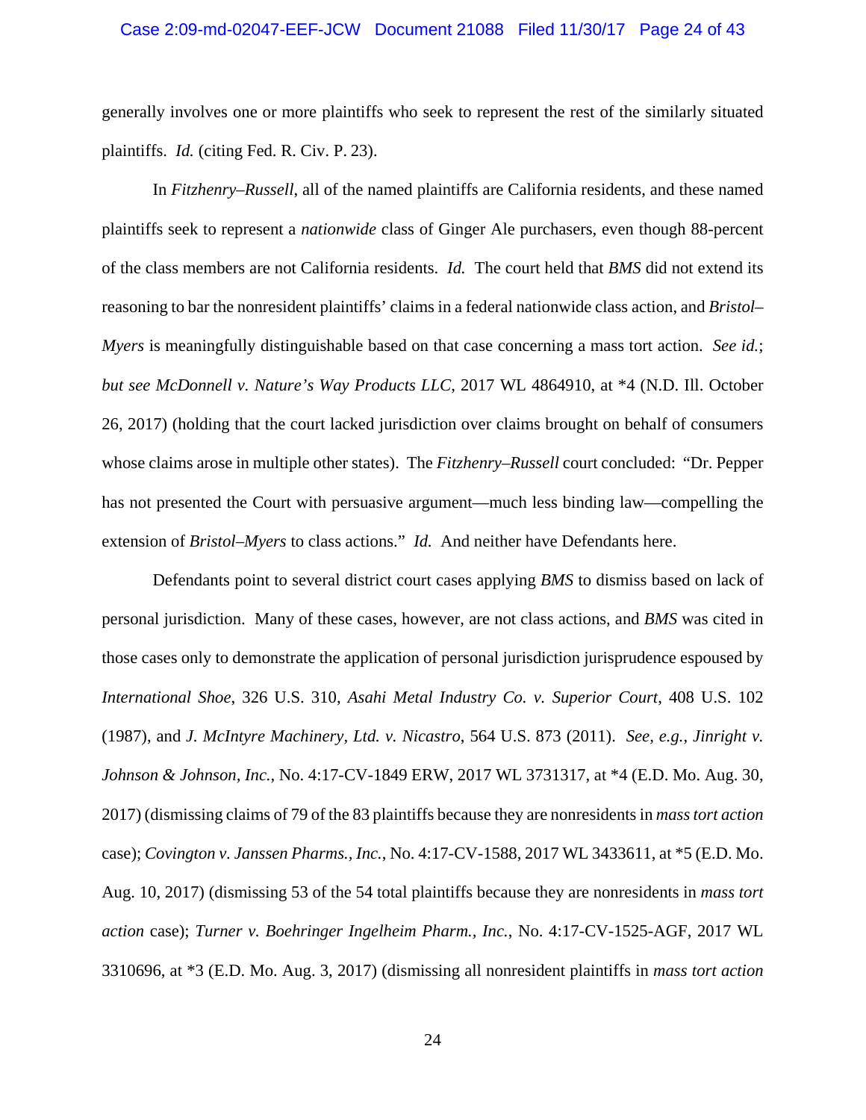### Case 2:09-md-02047-EEF-JCW Document 21088 Filed 11/30/17 Page 24 of 43

generally involves one or more plaintiffs who seek to represent the rest of the similarly situated plaintiffs. *Id.* (citing Fed. R. Civ. P. 23).

In *Fitzhenry–Russell*, all of the named plaintiffs are California residents, and these named plaintiffs seek to represent a *nationwide* class of Ginger Ale purchasers, even though 88-percent of the class members are not California residents. *Id.* The court held that *BMS* did not extend its reasoning to bar the nonresident plaintiffs' claims in a federal nationwide class action, and *Bristol– Myers* is meaningfully distinguishable based on that case concerning a mass tort action. *See id.*; *but see McDonnell v. Nature's Way Products LLC*, 2017 WL 4864910, at \*4 (N.D. Ill. October 26, 2017) (holding that the court lacked jurisdiction over claims brought on behalf of consumers whose claims arose in multiple other states).The *Fitzhenry–Russell* court concluded: "Dr. Pepper has not presented the Court with persuasive argument—much less binding law—compelling the extension of *Bristol–Myers* to class actions." *Id.* And neither have Defendants here.

Defendants point to several district court cases applying *BMS* to dismiss based on lack of personal jurisdiction. Many of these cases, however, are not class actions, and *BMS* was cited in those cases only to demonstrate the application of personal jurisdiction jurisprudence espoused by *International Shoe*, 326 U.S. 310, *Asahi Metal Industry Co. v. Superior Court*, 408 U.S. 102 (1987), and *J. McIntyre Machinery, Ltd. v. Nicastro*, 564 U.S. 873 (2011). *See, e.g.*, *Jinright v. Johnson & Johnson, Inc.*, No. 4:17-CV-1849 ERW, 2017 WL 3731317, at \*4 (E.D. Mo. Aug. 30, 2017) (dismissing claims of 79 of the 83 plaintiffs because they are nonresidents in *mass tort action* case); *Covington v. Janssen Pharms., Inc.*, No. 4:17-CV-1588, 2017 WL 3433611, at \*5 (E.D. Mo. Aug. 10, 2017) (dismissing 53 of the 54 total plaintiffs because they are nonresidents in *mass tort action* case); *Turner v. Boehringer Ingelheim Pharm., Inc.*, No. 4:17-CV-1525-AGF, 2017 WL 3310696, at \*3 (E.D. Mo. Aug. 3, 2017) (dismissing all nonresident plaintiffs in *mass tort action*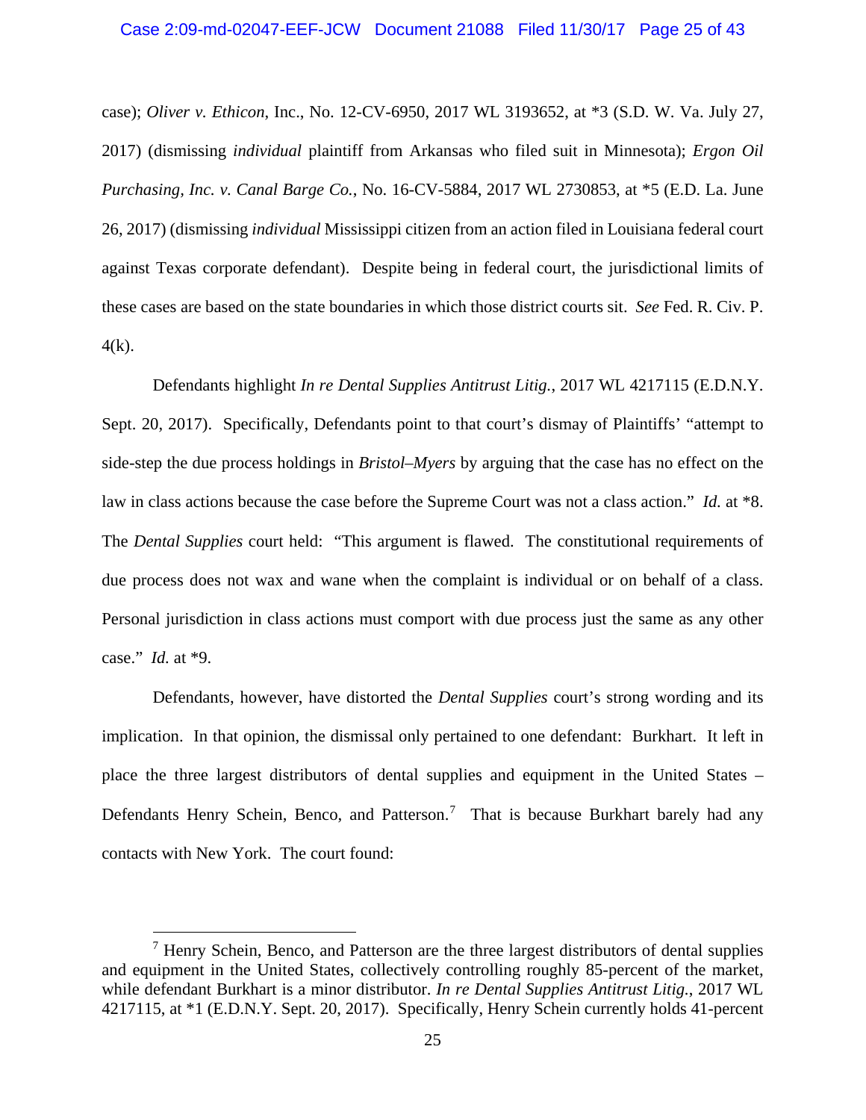#### Case 2:09-md-02047-EEF-JCW Document 21088 Filed 11/30/17 Page 25 of 43

case); *Oliver v. Ethicon*, Inc., No. 12-CV-6950, 2017 WL 3193652, at \*3 (S.D. W. Va. July 27, 2017) (dismissing *individual* plaintiff from Arkansas who filed suit in Minnesota); *Ergon Oil Purchasing, Inc. v. Canal Barge Co.*, No. 16-CV-5884, 2017 WL 2730853, at \*5 (E.D. La. June 26, 2017) (dismissing *individual* Mississippi citizen from an action filed in Louisiana federal court against Texas corporate defendant). Despite being in federal court, the jurisdictional limits of these cases are based on the state boundaries in which those district courts sit. *See* Fed. R. Civ. P.  $4(k)$ .

Defendants highlight *In re Dental Supplies Antitrust Litig.*, 2017 WL 4217115 (E.D.N.Y. Sept. 20, 2017). Specifically, Defendants point to that court's dismay of Plaintiffs' "attempt to side-step the due process holdings in *Bristol*–*Myers* by arguing that the case has no effect on the law in class actions because the case before the Supreme Court was not a class action." *Id.* at \*8. The *Dental Supplies* court held: "This argument is flawed. The constitutional requirements of due process does not wax and wane when the complaint is individual or on behalf of a class. Personal jurisdiction in class actions must comport with due process just the same as any other case." *Id.* at \*9.

Defendants, however, have distorted the *Dental Supplies* court's strong wording and its implication. In that opinion, the dismissal only pertained to one defendant: Burkhart. It left in place the three largest distributors of dental supplies and equipment in the United States – Defendants Henry Schein, Benco, and Patterson.<sup>7</sup> That is because Burkhart barely had any contacts with New York. The court found:

 $<sup>7</sup>$  Henry Schein, Benco, and Patterson are the three largest distributors of dental supplies</sup> and equipment in the United States, collectively controlling roughly 85-percent of the market, while defendant Burkhart is a minor distributor. *In re Dental Supplies Antitrust Litig.*, 2017 WL 4217115, at \*1 (E.D.N.Y. Sept. 20, 2017). Specifically, Henry Schein currently holds 41-percent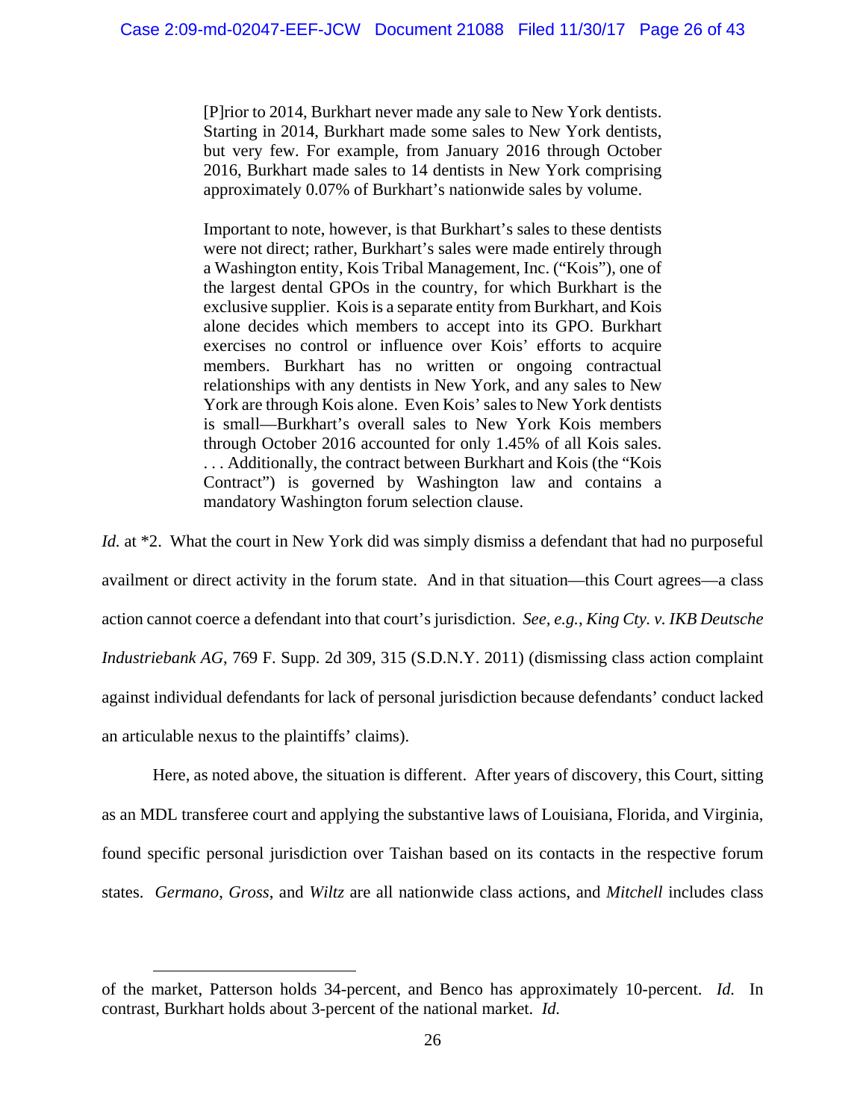[P]rior to 2014, Burkhart never made any sale to New York dentists. Starting in 2014, Burkhart made some sales to New York dentists, but very few. For example, from January 2016 through October 2016, Burkhart made sales to 14 dentists in New York comprising approximately 0.07% of Burkhart's nationwide sales by volume.

Important to note, however, is that Burkhart's sales to these dentists were not direct; rather, Burkhart's sales were made entirely through a Washington entity, Kois Tribal Management, Inc. ("Kois"), one of the largest dental GPOs in the country, for which Burkhart is the exclusive supplier. Kois is a separate entity from Burkhart, and Kois alone decides which members to accept into its GPO. Burkhart exercises no control or influence over Kois' efforts to acquire members. Burkhart has no written or ongoing contractual relationships with any dentists in New York, and any sales to New York are through Kois alone. Even Kois' sales to New York dentists is small—Burkhart's overall sales to New York Kois members through October 2016 accounted for only 1.45% of all Kois sales. . . . Additionally, the contract between Burkhart and Kois (the "Kois Contract") is governed by Washington law and contains a mandatory Washington forum selection clause.

*Id.* at \*2. What the court in New York did was simply dismiss a defendant that had no purposeful availment or direct activity in the forum state. And in that situation—this Court agrees—a class action cannot coerce a defendant into that court's jurisdiction. *See, e.g.*, *King Cty. v. IKB Deutsche Industriebank AG*, 769 F. Supp. 2d 309, 315 (S.D.N.Y. 2011) (dismissing class action complaint against individual defendants for lack of personal jurisdiction because defendants' conduct lacked an articulable nexus to the plaintiffs' claims).

Here, as noted above, the situation is different. After years of discovery, this Court, sitting as an MDL transferee court and applying the substantive laws of Louisiana, Florida, and Virginia, found specific personal jurisdiction over Taishan based on its contacts in the respective forum states. *Germano*, *Gross*, and *Wiltz* are all nationwide class actions, and *Mitchell* includes class

 $\overline{a}$ 

of the market, Patterson holds 34-percent, and Benco has approximately 10-percent. *Id.* In contrast, Burkhart holds about 3-percent of the national market. *Id.*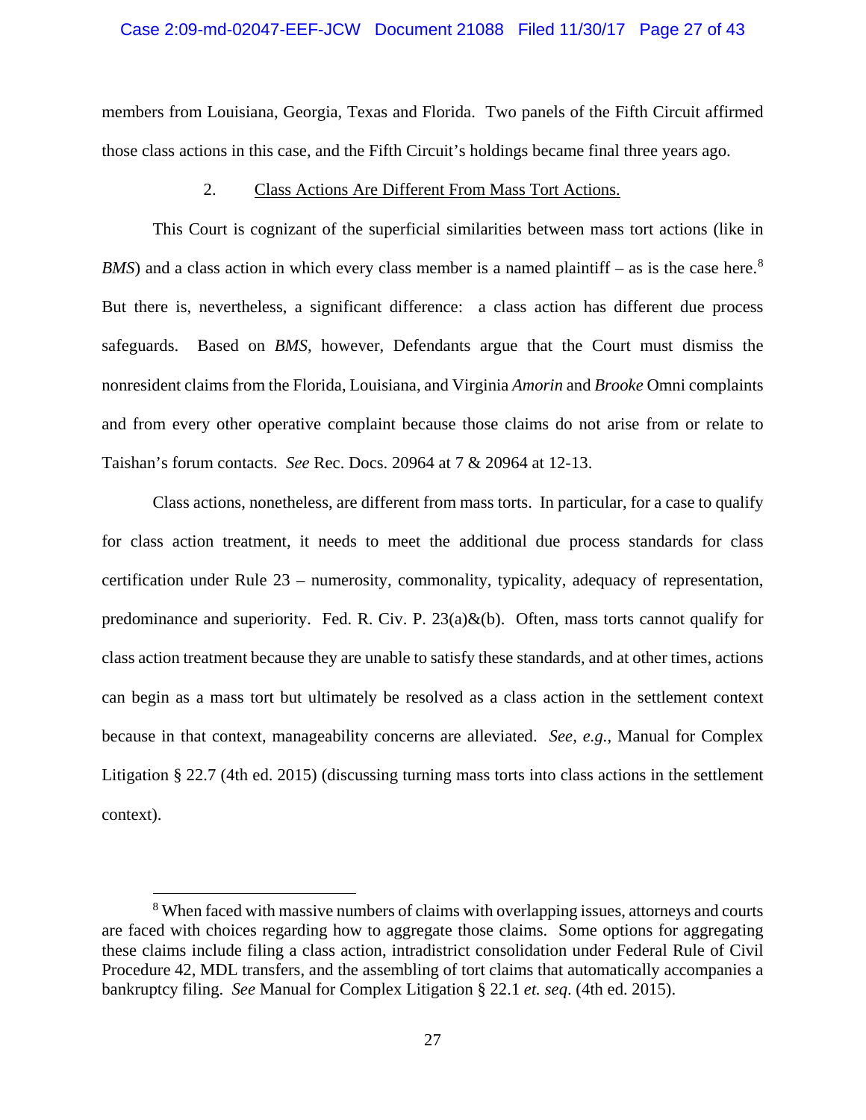### Case 2:09-md-02047-EEF-JCW Document 21088 Filed 11/30/17 Page 27 of 43

members from Louisiana, Georgia, Texas and Florida. Two panels of the Fifth Circuit affirmed those class actions in this case, and the Fifth Circuit's holdings became final three years ago.

### 2. Class Actions Are Different From Mass Tort Actions.

This Court is cognizant of the superficial similarities between mass tort actions (like in *BMS*) and a class action in which every class member is a named plaintiff – as is the case here.<sup>8</sup> But there is, nevertheless, a significant difference: a class action has different due process safeguards. Based on *BMS*, however, Defendants argue that the Court must dismiss the nonresident claims from the Florida, Louisiana, and Virginia *Amorin* and *Brooke* Omni complaints and from every other operative complaint because those claims do not arise from or relate to Taishan's forum contacts. *See* Rec. Docs. 20964 at 7 & 20964 at 12-13.

Class actions, nonetheless, are different from mass torts. In particular, for a case to qualify for class action treatment, it needs to meet the additional due process standards for class certification under Rule 23 – numerosity, commonality, typicality, adequacy of representation, predominance and superiority. Fed. R. Civ. P.  $23(a)\&(b)$ . Often, mass torts cannot qualify for class action treatment because they are unable to satisfy these standards, and at other times, actions can begin as a mass tort but ultimately be resolved as a class action in the settlement context because in that context, manageability concerns are alleviated. *See, e.g.*, Manual for Complex Litigation § 22.7 (4th ed. 2015) (discussing turning mass torts into class actions in the settlement context).

 <sup>8</sup> When faced with massive numbers of claims with overlapping issues, attorneys and courts are faced with choices regarding how to aggregate those claims. Some options for aggregating these claims include filing a class action, intradistrict consolidation under Federal Rule of Civil Procedure 42, MDL transfers, and the assembling of tort claims that automatically accompanies a bankruptcy filing. *See* Manual for Complex Litigation § 22.1 *et. seq*. (4th ed. 2015).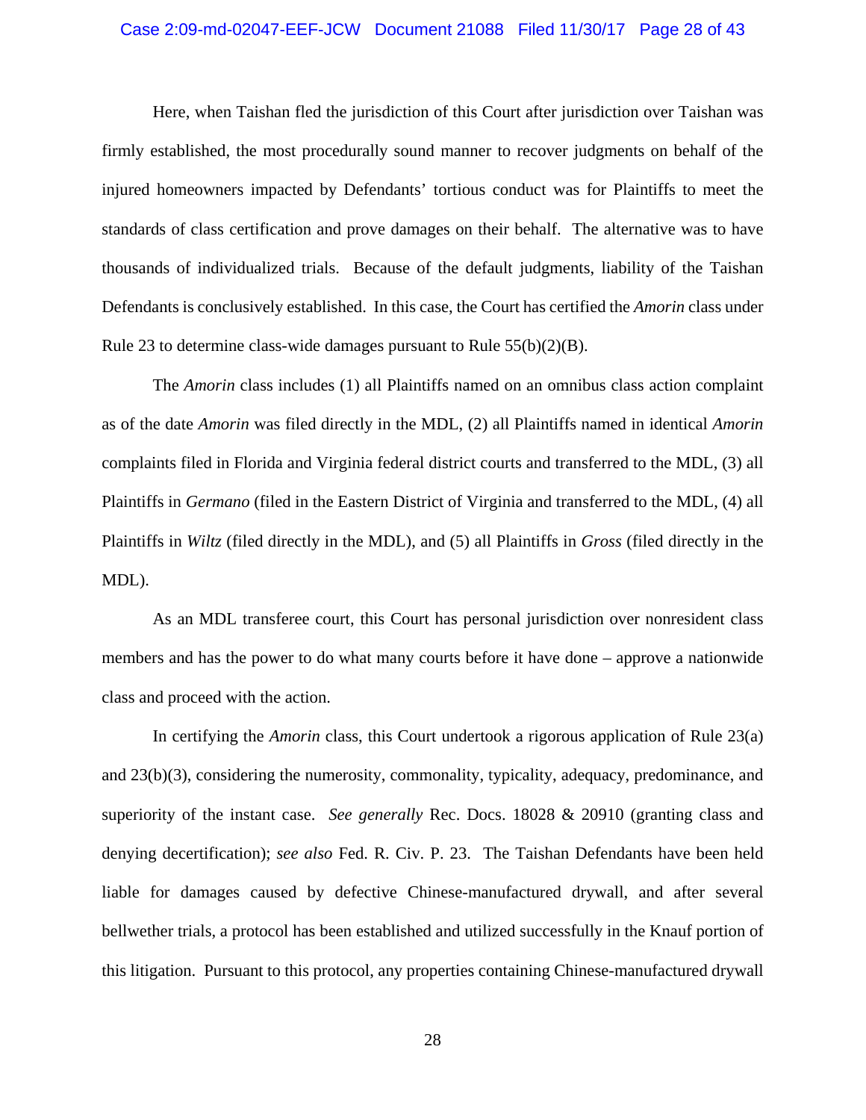# Case 2:09-md-02047-EEF-JCW Document 21088 Filed 11/30/17 Page 28 of 43

Here, when Taishan fled the jurisdiction of this Court after jurisdiction over Taishan was firmly established, the most procedurally sound manner to recover judgments on behalf of the injured homeowners impacted by Defendants' tortious conduct was for Plaintiffs to meet the standards of class certification and prove damages on their behalf. The alternative was to have thousands of individualized trials. Because of the default judgments, liability of the Taishan Defendants is conclusively established. In this case, the Court has certified the *Amorin* class under Rule 23 to determine class-wide damages pursuant to Rule 55(b)(2)(B).

The *Amorin* class includes (1) all Plaintiffs named on an omnibus class action complaint as of the date *Amorin* was filed directly in the MDL, (2) all Plaintiffs named in identical *Amorin*  complaints filed in Florida and Virginia federal district courts and transferred to the MDL, (3) all Plaintiffs in *Germano* (filed in the Eastern District of Virginia and transferred to the MDL, (4) all Plaintiffs in *Wiltz* (filed directly in the MDL), and (5) all Plaintiffs in *Gross* (filed directly in the MDL).

As an MDL transferee court, this Court has personal jurisdiction over nonresident class members and has the power to do what many courts before it have done – approve a nationwide class and proceed with the action.

In certifying the *Amorin* class, this Court undertook a rigorous application of Rule 23(a) and 23(b)(3), considering the numerosity, commonality, typicality, adequacy, predominance, and superiority of the instant case. *See generally* Rec. Docs. 18028 & 20910 (granting class and denying decertification); *see also* Fed. R. Civ. P. 23. The Taishan Defendants have been held liable for damages caused by defective Chinese-manufactured drywall, and after several bellwether trials, a protocol has been established and utilized successfully in the Knauf portion of this litigation. Pursuant to this protocol, any properties containing Chinese-manufactured drywall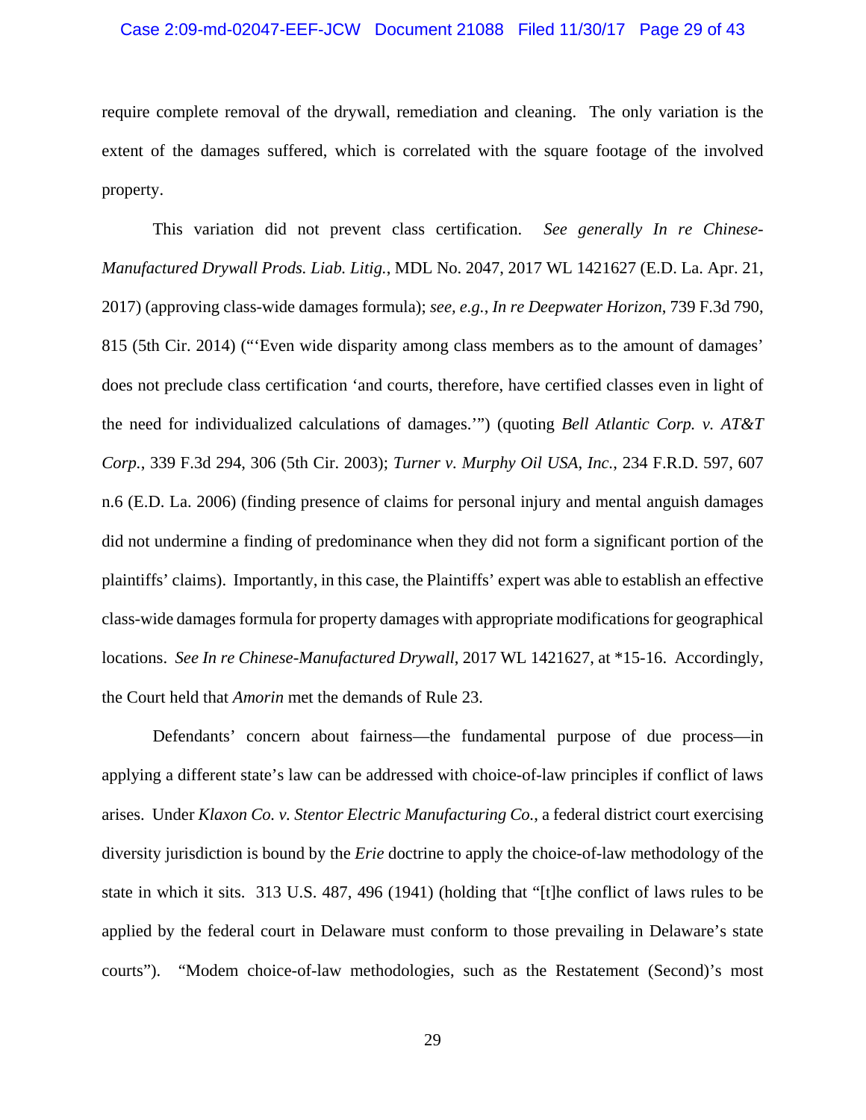### Case 2:09-md-02047-EEF-JCW Document 21088 Filed 11/30/17 Page 29 of 43

require complete removal of the drywall, remediation and cleaning. The only variation is the extent of the damages suffered, which is correlated with the square footage of the involved property.

This variation did not prevent class certification. *See generally In re Chinese-Manufactured Drywall Prods. Liab. Litig.*, MDL No. 2047, 2017 WL 1421627 (E.D. La. Apr. 21, 2017) (approving class-wide damages formula); *see, e.g.*, *In re Deepwater Horizon*, 739 F.3d 790, 815 (5th Cir. 2014) ("'Even wide disparity among class members as to the amount of damages' does not preclude class certification 'and courts, therefore, have certified classes even in light of the need for individualized calculations of damages.'") (quoting *Bell Atlantic Corp. v. AT&T Corp.*, 339 F.3d 294, 306 (5th Cir. 2003); *Turner v. Murphy Oil USA, Inc.*, 234 F.R.D. 597, 607 n.6 (E.D. La. 2006) (finding presence of claims for personal injury and mental anguish damages did not undermine a finding of predominance when they did not form a significant portion of the plaintiffs' claims). Importantly, in this case, the Plaintiffs' expert was able to establish an effective class-wide damages formula for property damages with appropriate modifications for geographical locations. *See In re Chinese-Manufactured Drywall*, 2017 WL 1421627, at \*15-16. Accordingly, the Court held that *Amorin* met the demands of Rule 23.

Defendants' concern about fairness—the fundamental purpose of due process—in applying a different state's law can be addressed with choice-of-law principles if conflict of laws arises. Under *Klaxon Co. v. Stentor Electric Manufacturing Co.*, a federal district court exercising diversity jurisdiction is bound by the *Erie* doctrine to apply the choice-of-law methodology of the state in which it sits. 313 U.S. 487, 496 (1941) (holding that "[t]he conflict of laws rules to be applied by the federal court in Delaware must conform to those prevailing in Delaware's state courts"). "Modem choice-of-law methodologies, such as the Restatement (Second)'s most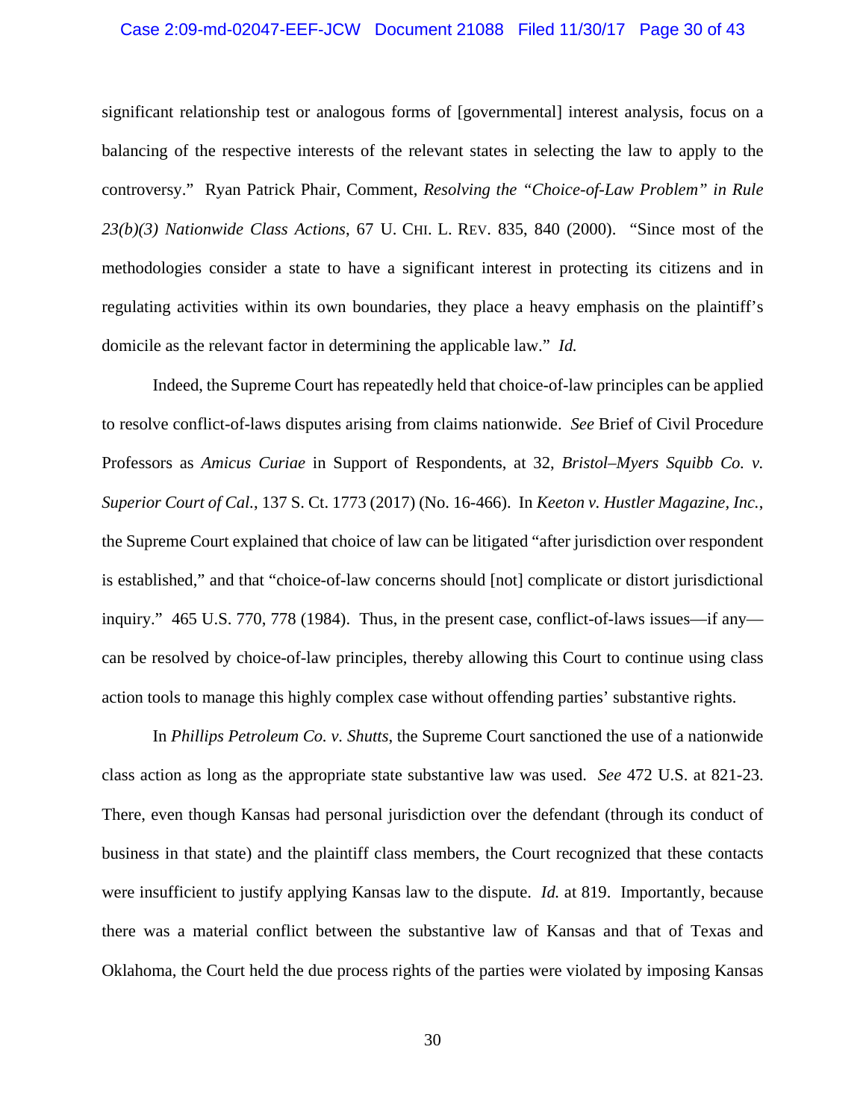### Case 2:09-md-02047-EEF-JCW Document 21088 Filed 11/30/17 Page 30 of 43

significant relationship test or analogous forms of [governmental] interest analysis, focus on a balancing of the respective interests of the relevant states in selecting the law to apply to the controversy." Ryan Patrick Phair, Comment, *Resolving the "Choice-of-Law Problem" in Rule 23(b)(3) Nationwide Class Actions*, 67 U. CHI. L. REV. 835, 840 (2000). "Since most of the methodologies consider a state to have a significant interest in protecting its citizens and in regulating activities within its own boundaries, they place a heavy emphasis on the plaintiff's domicile as the relevant factor in determining the applicable law." *Id.*

Indeed, the Supreme Court has repeatedly held that choice-of-law principles can be applied to resolve conflict-of-laws disputes arising from claims nationwide. *See* Brief of Civil Procedure Professors as *Amicus Curiae* in Support of Respondents, at 32, *Bristol–Myers Squibb Co. v. Superior Court of Cal.*, 137 S. Ct. 1773 (2017) (No. 16-466). In *Keeton v. Hustler Magazine, Inc.*, the Supreme Court explained that choice of law can be litigated "after jurisdiction over respondent is established," and that "choice-of-law concerns should [not] complicate or distort jurisdictional inquiry." 465 U.S. 770, 778 (1984). Thus, in the present case, conflict-of-laws issues—if any can be resolved by choice-of-law principles, thereby allowing this Court to continue using class action tools to manage this highly complex case without offending parties' substantive rights.

In *Phillips Petroleum Co. v. Shutts*, the Supreme Court sanctioned the use of a nationwide class action as long as the appropriate state substantive law was used. *See* 472 U.S. at 821-23. There, even though Kansas had personal jurisdiction over the defendant (through its conduct of business in that state) and the plaintiff class members, the Court recognized that these contacts were insufficient to justify applying Kansas law to the dispute. *Id.* at 819. Importantly, because there was a material conflict between the substantive law of Kansas and that of Texas and Oklahoma, the Court held the due process rights of the parties were violated by imposing Kansas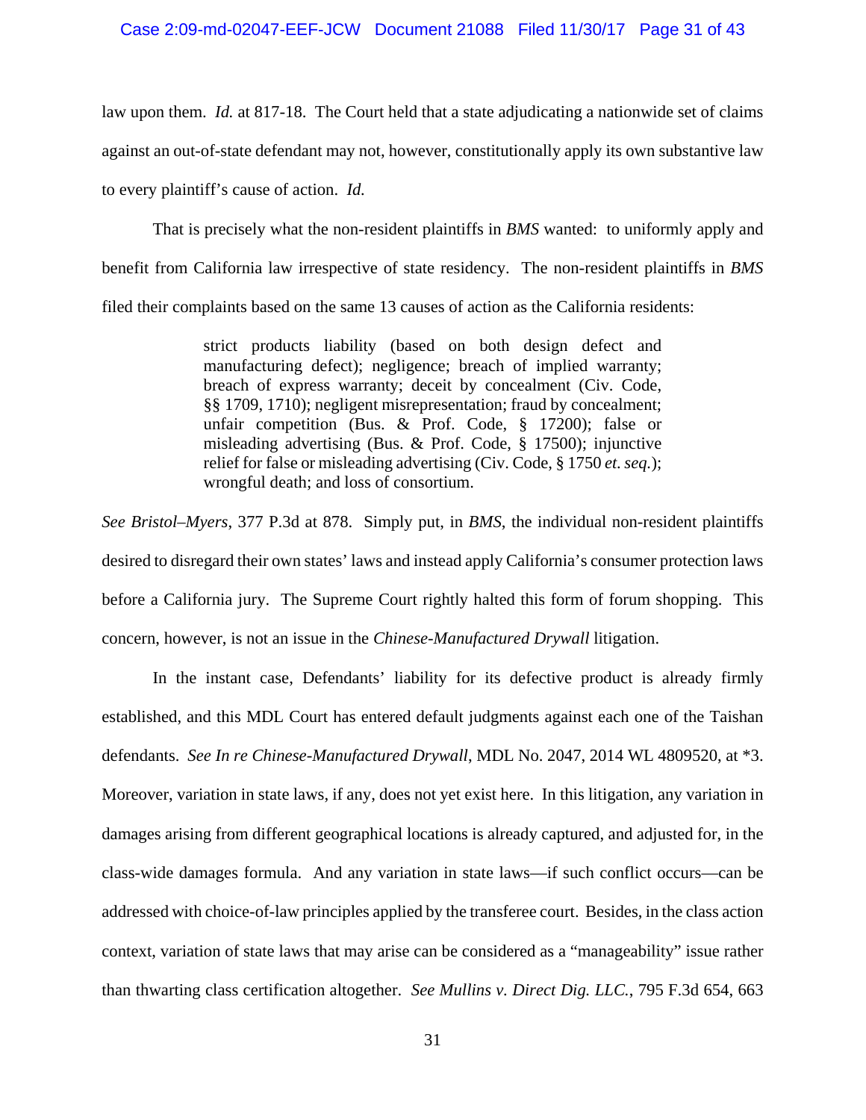# Case 2:09-md-02047-EEF-JCW Document 21088 Filed 11/30/17 Page 31 of 43

law upon them. *Id.* at 817-18. The Court held that a state adjudicating a nationwide set of claims against an out-of-state defendant may not, however, constitutionally apply its own substantive law to every plaintiff's cause of action. *Id.* 

That is precisely what the non-resident plaintiffs in *BMS* wanted: to uniformly apply and benefit from California law irrespective of state residency. The non-resident plaintiffs in *BMS*  filed their complaints based on the same 13 causes of action as the California residents:

> strict products liability (based on both design defect and manufacturing defect); negligence; breach of implied warranty; breach of express warranty; deceit by concealment (Civ. Code, §§ 1709, 1710); negligent misrepresentation; fraud by concealment; unfair competition (Bus. & Prof. Code, § 17200); false or misleading advertising (Bus. & Prof. Code, § 17500); injunctive relief for false or misleading advertising (Civ. Code, § 1750 *et. seq.*); wrongful death; and loss of consortium.

*See Bristol–Myers*, 377 P.3d at 878. Simply put, in *BMS*, the individual non-resident plaintiffs desired to disregard their own states' laws and instead apply California's consumer protection laws before a California jury. The Supreme Court rightly halted this form of forum shopping. This concern, however, is not an issue in the *Chinese-Manufactured Drywall* litigation.

In the instant case, Defendants' liability for its defective product is already firmly established, and this MDL Court has entered default judgments against each one of the Taishan defendants. *See In re Chinese-Manufactured Drywall*, MDL No. 2047, 2014 WL 4809520, at \*3. Moreover, variation in state laws, if any, does not yet exist here. In this litigation, any variation in damages arising from different geographical locations is already captured, and adjusted for, in the class-wide damages formula. And any variation in state laws—if such conflict occurs—can be addressed with choice-of-law principles applied by the transferee court. Besides, in the class action context, variation of state laws that may arise can be considered as a "manageability" issue rather than thwarting class certification altogether. *See Mullins v. Direct Dig. LLC.*, 795 F.3d 654, 663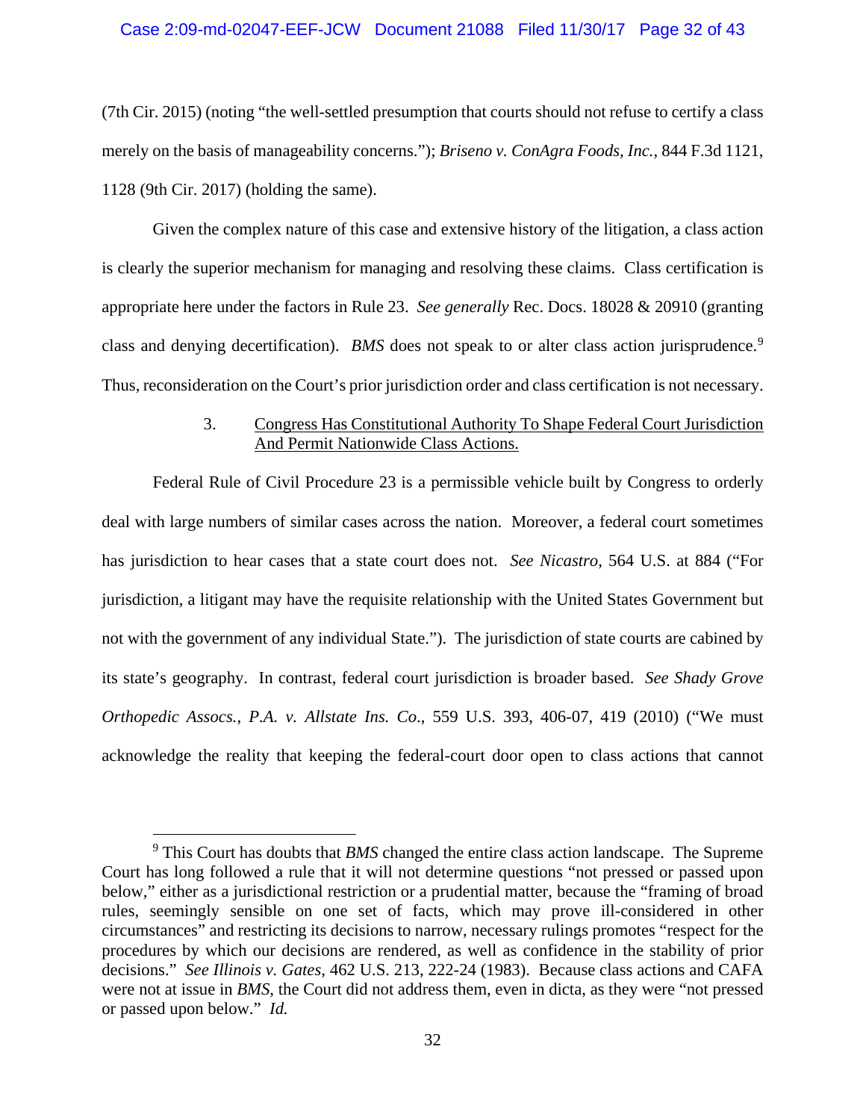# Case 2:09-md-02047-EEF-JCW Document 21088 Filed 11/30/17 Page 32 of 43

(7th Cir. 2015) (noting "the well-settled presumption that courts should not refuse to certify a class merely on the basis of manageability concerns."); *Briseno v. ConAgra Foods, Inc.*, 844 F.3d 1121, 1128 (9th Cir. 2017) (holding the same).

Given the complex nature of this case and extensive history of the litigation, a class action is clearly the superior mechanism for managing and resolving these claims. Class certification is appropriate here under the factors in Rule 23. *See generally* Rec. Docs. 18028 & 20910 (granting class and denying decertification). *BMS* does not speak to or alter class action jurisprudence.<sup>9</sup> Thus, reconsideration on the Court's prior jurisdiction order and class certification is not necessary.

### 3. Congress Has Constitutional Authority To Shape Federal Court Jurisdiction And Permit Nationwide Class Actions.

Federal Rule of Civil Procedure 23 is a permissible vehicle built by Congress to orderly deal with large numbers of similar cases across the nation. Moreover, a federal court sometimes has jurisdiction to hear cases that a state court does not. *See Nicastro*, 564 U.S. at 884 ("For jurisdiction, a litigant may have the requisite relationship with the United States Government but not with the government of any individual State."). The jurisdiction of state courts are cabined by its state's geography. In contrast, federal court jurisdiction is broader based. *See Shady Grove Orthopedic Assocs., P.A. v. Allstate Ins. Co*., 559 U.S. 393, 406-07, 419 (2010) ("We must acknowledge the reality that keeping the federal-court door open to class actions that cannot

 <sup>9</sup> This Court has doubts that *BMS* changed the entire class action landscape. The Supreme Court has long followed a rule that it will not determine questions "not pressed or passed upon below," either as a jurisdictional restriction or a prudential matter, because the "framing of broad rules, seemingly sensible on one set of facts, which may prove ill-considered in other circumstances" and restricting its decisions to narrow, necessary rulings promotes "respect for the procedures by which our decisions are rendered, as well as confidence in the stability of prior decisions." *See Illinois v. Gates*, 462 U.S. 213, 222-24 (1983). Because class actions and CAFA were not at issue in *BMS*, the Court did not address them, even in dicta, as they were "not pressed or passed upon below." *Id.*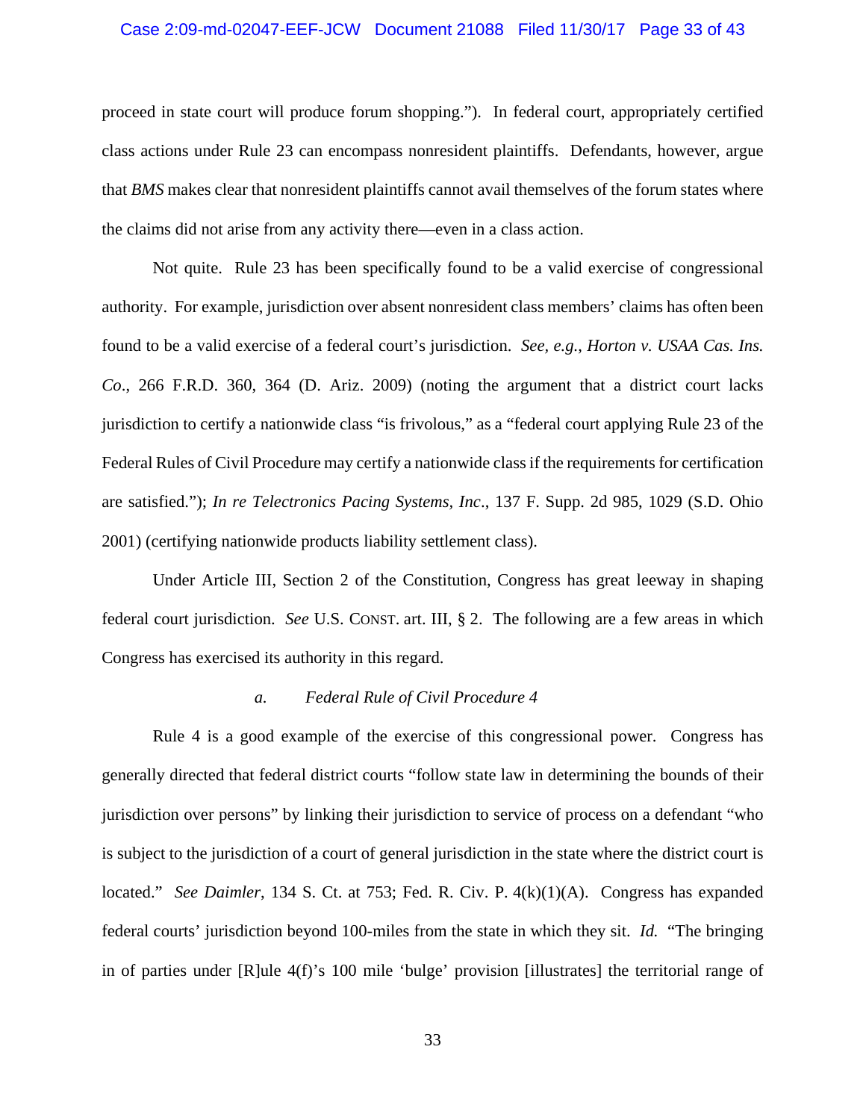### Case 2:09-md-02047-EEF-JCW Document 21088 Filed 11/30/17 Page 33 of 43

proceed in state court will produce forum shopping."). In federal court, appropriately certified class actions under Rule 23 can encompass nonresident plaintiffs. Defendants, however, argue that *BMS* makes clear that nonresident plaintiffs cannot avail themselves of the forum states where the claims did not arise from any activity there—even in a class action.

Not quite. Rule 23 has been specifically found to be a valid exercise of congressional authority. For example, jurisdiction over absent nonresident class members' claims has often been found to be a valid exercise of a federal court's jurisdiction. *See, e.g.*, *Horton v. USAA Cas. Ins. Co*., 266 F.R.D. 360, 364 (D. Ariz. 2009) (noting the argument that a district court lacks jurisdiction to certify a nationwide class "is frivolous," as a "federal court applying Rule 23 of the Federal Rules of Civil Procedure may certify a nationwide class if the requirements for certification are satisfied."); *In re Telectronics Pacing Systems, Inc*., 137 F. Supp. 2d 985, 1029 (S.D. Ohio 2001) (certifying nationwide products liability settlement class).

Under Article III, Section 2 of the Constitution, Congress has great leeway in shaping federal court jurisdiction. *See* U.S. CONST. art. III, § 2. The following are a few areas in which Congress has exercised its authority in this regard.

#### *a. Federal Rule of Civil Procedure 4*

Rule 4 is a good example of the exercise of this congressional power. Congress has generally directed that federal district courts "follow state law in determining the bounds of their jurisdiction over persons" by linking their jurisdiction to service of process on a defendant "who is subject to the jurisdiction of a court of general jurisdiction in the state where the district court is located." *See Daimler*, 134 S. Ct. at 753; Fed. R. Civ. P. 4(k)(1)(A). Congress has expanded federal courts' jurisdiction beyond 100-miles from the state in which they sit. *Id.* "The bringing in of parties under [R]ule 4(f)'s 100 mile 'bulge' provision [illustrates] the territorial range of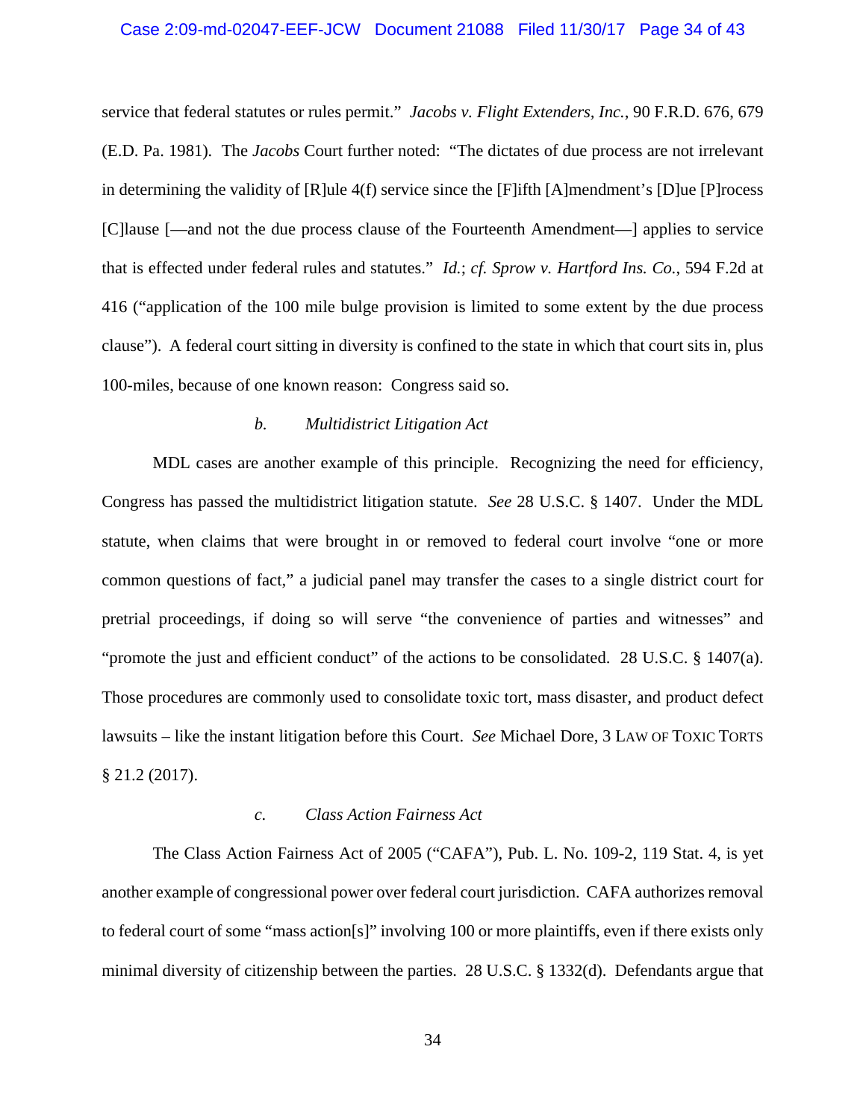### Case 2:09-md-02047-EEF-JCW Document 21088 Filed 11/30/17 Page 34 of 43

service that federal statutes or rules permit." *Jacobs v. Flight Extenders, Inc.*, 90 F.R.D. 676, 679 (E.D. Pa. 1981)*.* The *Jacobs* Court further noted: "The dictates of due process are not irrelevant in determining the validity of [R]ule 4(f) service since the [F]ifth [A]mendment's [D]ue [P]rocess [C]lause [—and not the due process clause of the Fourteenth Amendment—] applies to service that is effected under federal rules and statutes." *Id.*; *cf. Sprow v. Hartford Ins. Co.*, 594 F.2d at 416 ("application of the 100 mile bulge provision is limited to some extent by the due process clause"). A federal court sitting in diversity is confined to the state in which that court sits in, plus 100-miles, because of one known reason: Congress said so.

### *b. Multidistrict Litigation Act*

MDL cases are another example of this principle. Recognizing the need for efficiency, Congress has passed the multidistrict litigation statute. *See* 28 U.S.C. § 1407. Under the MDL statute, when claims that were brought in or removed to federal court involve "one or more common questions of fact," a judicial panel may transfer the cases to a single district court for pretrial proceedings, if doing so will serve "the convenience of parties and witnesses" and "promote the just and efficient conduct" of the actions to be consolidated. 28 U.S.C. § 1407(a). Those procedures are commonly used to consolidate toxic tort, mass disaster, and product defect lawsuits – like the instant litigation before this Court. *See* Michael Dore, 3 LAW OF TOXIC TORTS § 21.2 (2017).

#### *c. Class Action Fairness Act*

The Class Action Fairness Act of 2005 ("CAFA"), Pub. L. No. 109-2, 119 Stat. 4, is yet another example of congressional power over federal court jurisdiction. CAFA authorizes removal to federal court of some "mass action[s]" involving 100 or more plaintiffs, even if there exists only minimal diversity of citizenship between the parties. 28 U.S.C. § 1332(d). Defendants argue that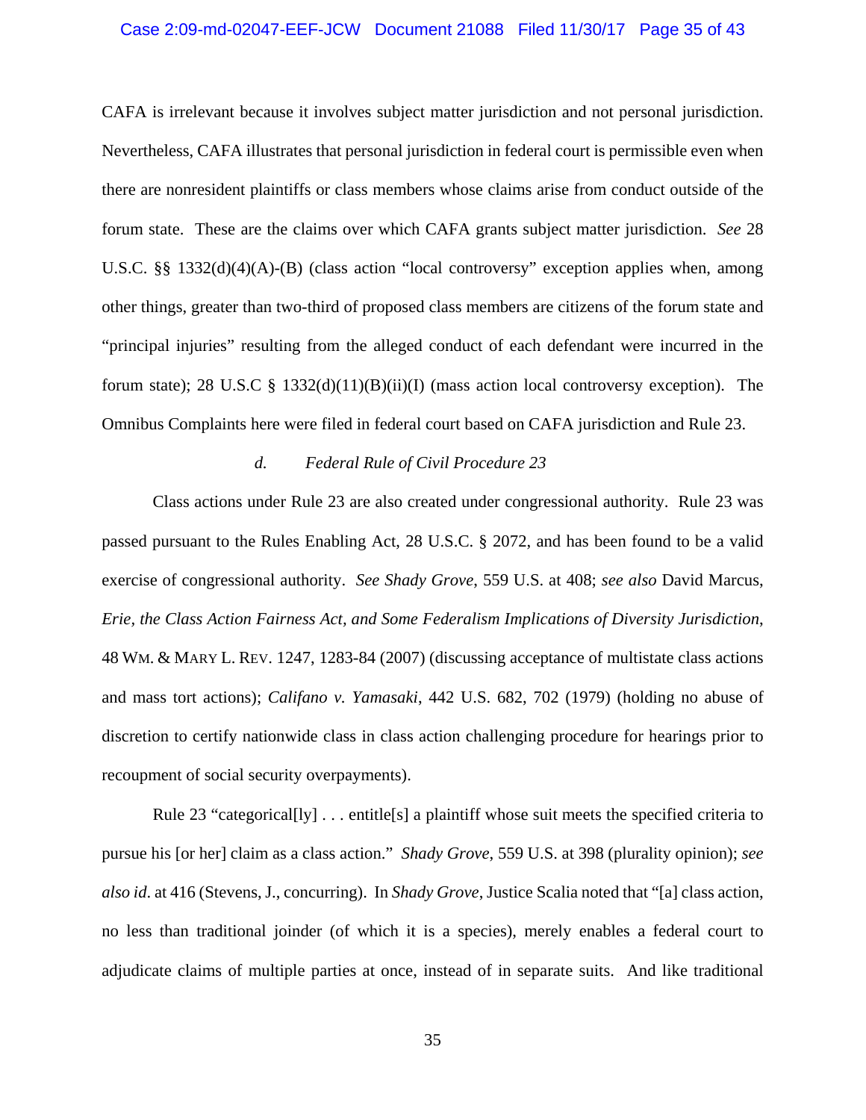### Case 2:09-md-02047-EEF-JCW Document 21088 Filed 11/30/17 Page 35 of 43

CAFA is irrelevant because it involves subject matter jurisdiction and not personal jurisdiction. Nevertheless, CAFA illustrates that personal jurisdiction in federal court is permissible even when there are nonresident plaintiffs or class members whose claims arise from conduct outside of the forum state. These are the claims over which CAFA grants subject matter jurisdiction. *See* 28 U.S.C. §§ 1332(d)(4)(A)-(B) (class action "local controversy" exception applies when, among other things, greater than two-third of proposed class members are citizens of the forum state and "principal injuries" resulting from the alleged conduct of each defendant were incurred in the forum state); 28 U.S.C  $\S$  1332(d)(11)(B)(ii)(I) (mass action local controversy exception). The Omnibus Complaints here were filed in federal court based on CAFA jurisdiction and Rule 23.

### *d. Federal Rule of Civil Procedure 23*

Class actions under Rule 23 are also created under congressional authority. Rule 23 was passed pursuant to the Rules Enabling Act, 28 U.S.C. § 2072, and has been found to be a valid exercise of congressional authority. *See Shady Grove*, 559 U.S. at 408; *see also* David Marcus, *Erie, the Class Action Fairness Act, and Some Federalism Implications of Diversity Jurisdiction*, 48 WM. & MARY L. REV. 1247, 1283-84 (2007) (discussing acceptance of multistate class actions and mass tort actions); *Califano v. Yamasaki*, 442 U.S. 682, 702 (1979) (holding no abuse of discretion to certify nationwide class in class action challenging procedure for hearings prior to recoupment of social security overpayments).

Rule 23 "categorical<sup>[1</sup>y] . . . entitle<sup>[5]</sup> a plaintiff whose suit meets the specified criteria to pursue his [or her] claim as a class action." *Shady Grove*, 559 U.S. at 398 (plurality opinion); *see also id*. at 416 (Stevens, J., concurring). In *Shady Grove*, Justice Scalia noted that "[a] class action, no less than traditional joinder (of which it is a species), merely enables a federal court to adjudicate claims of multiple parties at once, instead of in separate suits. And like traditional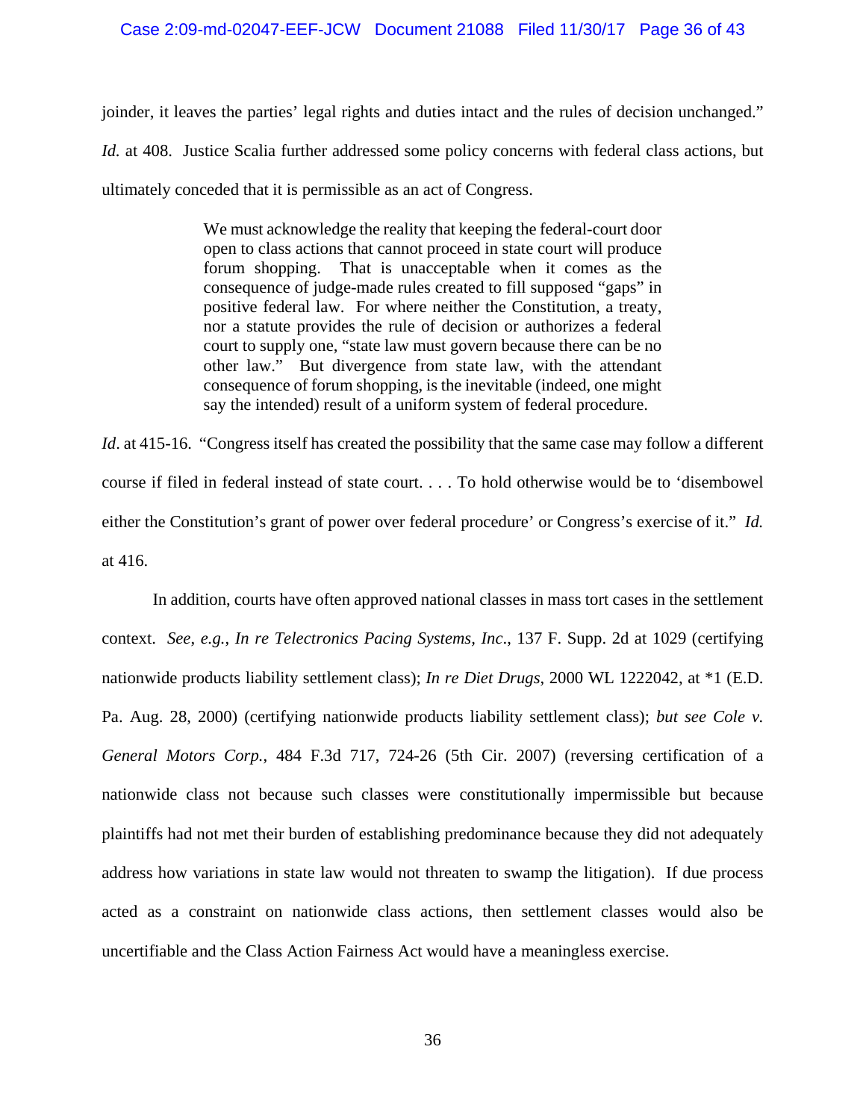### Case 2:09-md-02047-EEF-JCW Document 21088 Filed 11/30/17 Page 36 of 43

joinder, it leaves the parties' legal rights and duties intact and the rules of decision unchanged." *Id.* at 408. Justice Scalia further addressed some policy concerns with federal class actions, but ultimately conceded that it is permissible as an act of Congress.

> We must acknowledge the reality that keeping the federal-court door open to class actions that cannot proceed in state court will produce forum shopping. That is unacceptable when it comes as the consequence of judge-made rules created to fill supposed "gaps" in positive federal law. For where neither the Constitution, a treaty, nor a statute provides the rule of decision or authorizes a federal court to supply one, "state law must govern because there can be no other law." But divergence from state law, with the attendant consequence of forum shopping, is the inevitable (indeed, one might say the intended) result of a uniform system of federal procedure.

*Id.* at 415-16. "Congress itself has created the possibility that the same case may follow a different course if filed in federal instead of state court. . . . To hold otherwise would be to 'disembowel either the Constitution's grant of power over federal procedure' or Congress's exercise of it." *Id.* at 416.

In addition, courts have often approved national classes in mass tort cases in the settlement context. *See*, *e.g.*, *In re Telectronics Pacing Systems, Inc*., 137 F. Supp. 2d at 1029 (certifying nationwide products liability settlement class); *In re Diet Drugs*, 2000 WL 1222042, at \*1 (E.D. Pa. Aug. 28, 2000) (certifying nationwide products liability settlement class); *but see Cole v. General Motors Corp.*, 484 F.3d 717, 724-26 (5th Cir. 2007) (reversing certification of a nationwide class not because such classes were constitutionally impermissible but because plaintiffs had not met their burden of establishing predominance because they did not adequately address how variations in state law would not threaten to swamp the litigation). If due process acted as a constraint on nationwide class actions, then settlement classes would also be uncertifiable and the Class Action Fairness Act would have a meaningless exercise.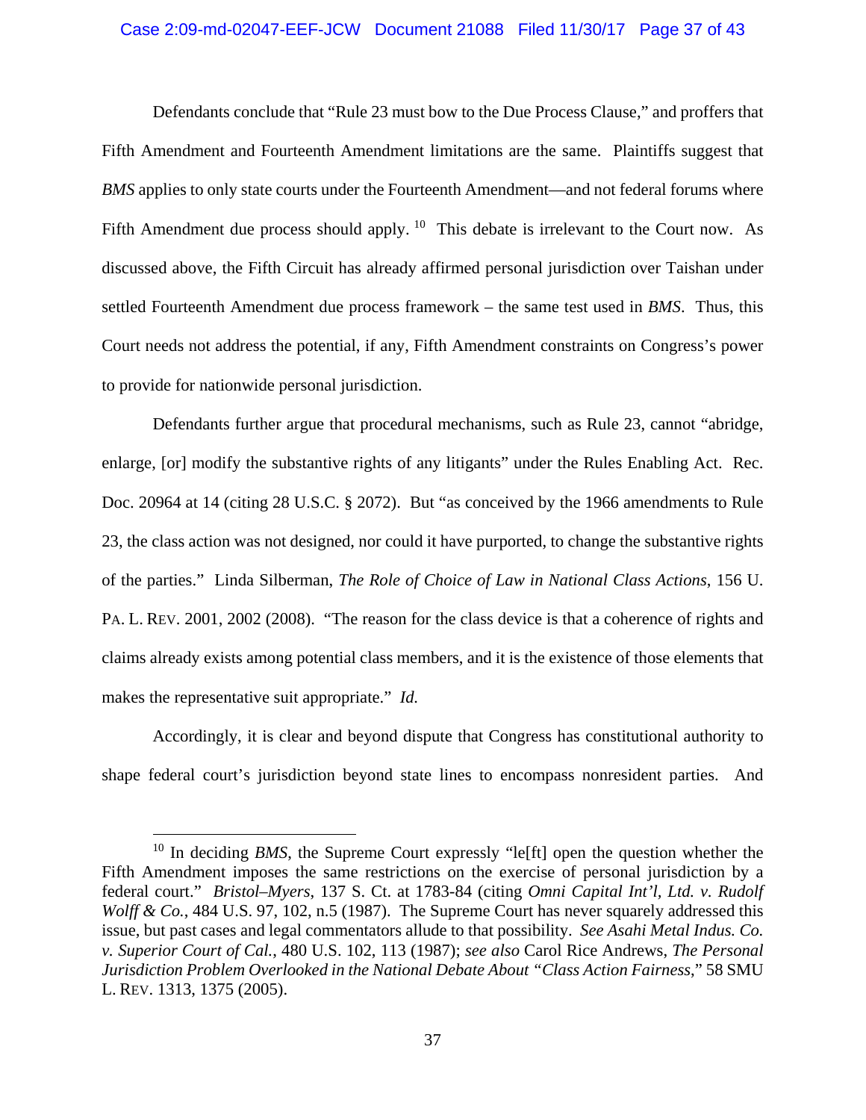# Case 2:09-md-02047-EEF-JCW Document 21088 Filed 11/30/17 Page 37 of 43

Defendants conclude that "Rule 23 must bow to the Due Process Clause," and proffers that Fifth Amendment and Fourteenth Amendment limitations are the same. Plaintiffs suggest that *BMS* applies to only state courts under the Fourteenth Amendment—and not federal forums where Fifth Amendment due process should apply.  $10$  This debate is irrelevant to the Court now. As discussed above, the Fifth Circuit has already affirmed personal jurisdiction over Taishan under settled Fourteenth Amendment due process framework – the same test used in *BMS*. Thus, this Court needs not address the potential, if any, Fifth Amendment constraints on Congress's power to provide for nationwide personal jurisdiction.

Defendants further argue that procedural mechanisms, such as Rule 23, cannot "abridge, enlarge, [or] modify the substantive rights of any litigants" under the Rules Enabling Act. Rec. Doc. 20964 at 14 (citing 28 U.S.C. § 2072). But "as conceived by the 1966 amendments to Rule 23, the class action was not designed, nor could it have purported, to change the substantive rights of the parties." Linda Silberman, *The Role of Choice of Law in National Class Actions*, 156 U. PA. L. REV. 2001, 2002 (2008). "The reason for the class device is that a coherence of rights and claims already exists among potential class members, and it is the existence of those elements that makes the representative suit appropriate." *Id.*

Accordingly, it is clear and beyond dispute that Congress has constitutional authority to shape federal court's jurisdiction beyond state lines to encompass nonresident parties. And

<sup>&</sup>lt;sup>10</sup> In deciding *BMS*, the Supreme Court expressly "le<sup>[ft]</sup> open the question whether the Fifth Amendment imposes the same restrictions on the exercise of personal jurisdiction by a federal court." *Bristol–Myers*, 137 S. Ct. at 1783-84 (citing *Omni Capital Int'l, Ltd. v. Rudolf Wolff & Co.*, 484 U.S. 97, 102, n.5 (1987). The Supreme Court has never squarely addressed this issue, but past cases and legal commentators allude to that possibility. *See Asahi Metal Indus. Co. v. Superior Court of Cal.*, 480 U.S. 102, 113 (1987); *see also* Carol Rice Andrews, *The Personal Jurisdiction Problem Overlooked in the National Debate About "Class Action Fairness*," 58 SMU L. REV. 1313, 1375 (2005).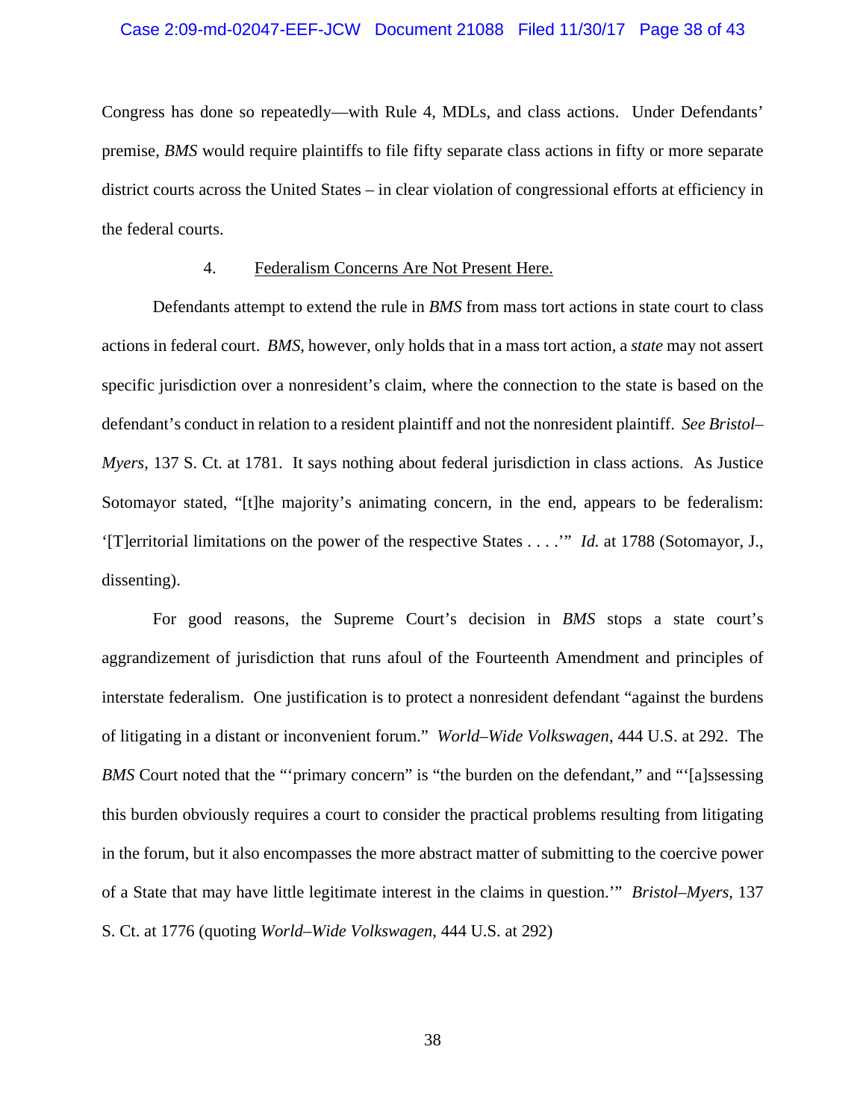### Case 2:09-md-02047-EEF-JCW Document 21088 Filed 11/30/17 Page 38 of 43

Congress has done so repeatedly—with Rule 4, MDLs, and class actions. Under Defendants' premise, *BMS* would require plaintiffs to file fifty separate class actions in fifty or more separate district courts across the United States – in clear violation of congressional efforts at efficiency in the federal courts.

### 4. Federalism Concerns Are Not Present Here.

Defendants attempt to extend the rule in *BMS* from mass tort actions in state court to class actions in federal court. *BMS*, however, only holds that in a mass tort action, a *state* may not assert specific jurisdiction over a nonresident's claim, where the connection to the state is based on the defendant's conduct in relation to a resident plaintiff and not the nonresident plaintiff. *See Bristol– Myers*, 137 S. Ct. at 1781. It says nothing about federal jurisdiction in class actions. As Justice Sotomayor stated, "[t]he majority's animating concern, in the end, appears to be federalism: '[T]erritorial limitations on the power of the respective States . . . .'" *Id.* at 1788 (Sotomayor, J., dissenting).

For good reasons, the Supreme Court's decision in *BMS* stops a state court's aggrandizement of jurisdiction that runs afoul of the Fourteenth Amendment and principles of interstate federalism. One justification is to protect a nonresident defendant "against the burdens of litigating in a distant or inconvenient forum." *World–Wide Volkswagen*, 444 U.S. at 292. The *BMS* Court noted that the "'primary concern" is "the burden on the defendant," and "'[a]ssessing this burden obviously requires a court to consider the practical problems resulting from litigating in the forum, but it also encompasses the more abstract matter of submitting to the coercive power of a State that may have little legitimate interest in the claims in question.'" *Bristol–Myers*, 137 S. Ct. at 1776 (quoting *World–Wide Volkswagen*, 444 U.S. at 292)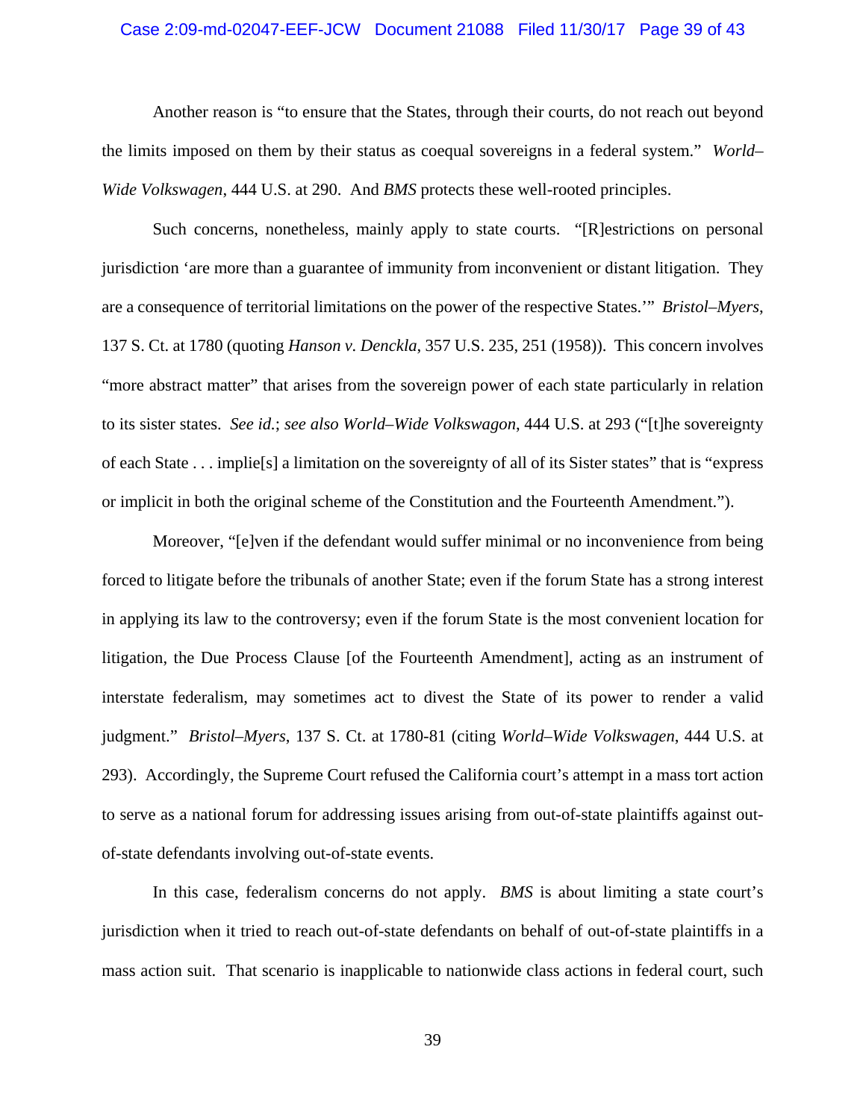### Case 2:09-md-02047-EEF-JCW Document 21088 Filed 11/30/17 Page 39 of 43

Another reason is "to ensure that the States, through their courts, do not reach out beyond the limits imposed on them by their status as coequal sovereigns in a federal system." *World– Wide Volkswagen*, 444 U.S. at 290. And *BMS* protects these well-rooted principles.

Such concerns, nonetheless, mainly apply to state courts. "[R]estrictions on personal jurisdiction 'are more than a guarantee of immunity from inconvenient or distant litigation. They are a consequence of territorial limitations on the power of the respective States.'" *Bristol–Myers*, 137 S. Ct. at 1780 (quoting *Hanson v. Denckla*, 357 U.S. 235, 251 (1958)). This concern involves "more abstract matter" that arises from the sovereign power of each state particularly in relation to its sister states. *See id.*; *see also World–Wide Volkswagon*, 444 U.S. at 293 ("[t]he sovereignty of each State . . . implie[s] a limitation on the sovereignty of all of its Sister states" that is "express or implicit in both the original scheme of the Constitution and the Fourteenth Amendment.").

Moreover, "[e]ven if the defendant would suffer minimal or no inconvenience from being forced to litigate before the tribunals of another State; even if the forum State has a strong interest in applying its law to the controversy; even if the forum State is the most convenient location for litigation, the Due Process Clause [of the Fourteenth Amendment], acting as an instrument of interstate federalism, may sometimes act to divest the State of its power to render a valid judgment." *Bristol–Myers*, 137 S. Ct. at 1780-81 (citing *World–Wide Volkswagen*, 444 U.S. at 293). Accordingly, the Supreme Court refused the California court's attempt in a mass tort action to serve as a national forum for addressing issues arising from out-of-state plaintiffs against outof-state defendants involving out-of-state events.

In this case, federalism concerns do not apply. *BMS* is about limiting a state court's jurisdiction when it tried to reach out-of-state defendants on behalf of out-of-state plaintiffs in a mass action suit. That scenario is inapplicable to nationwide class actions in federal court, such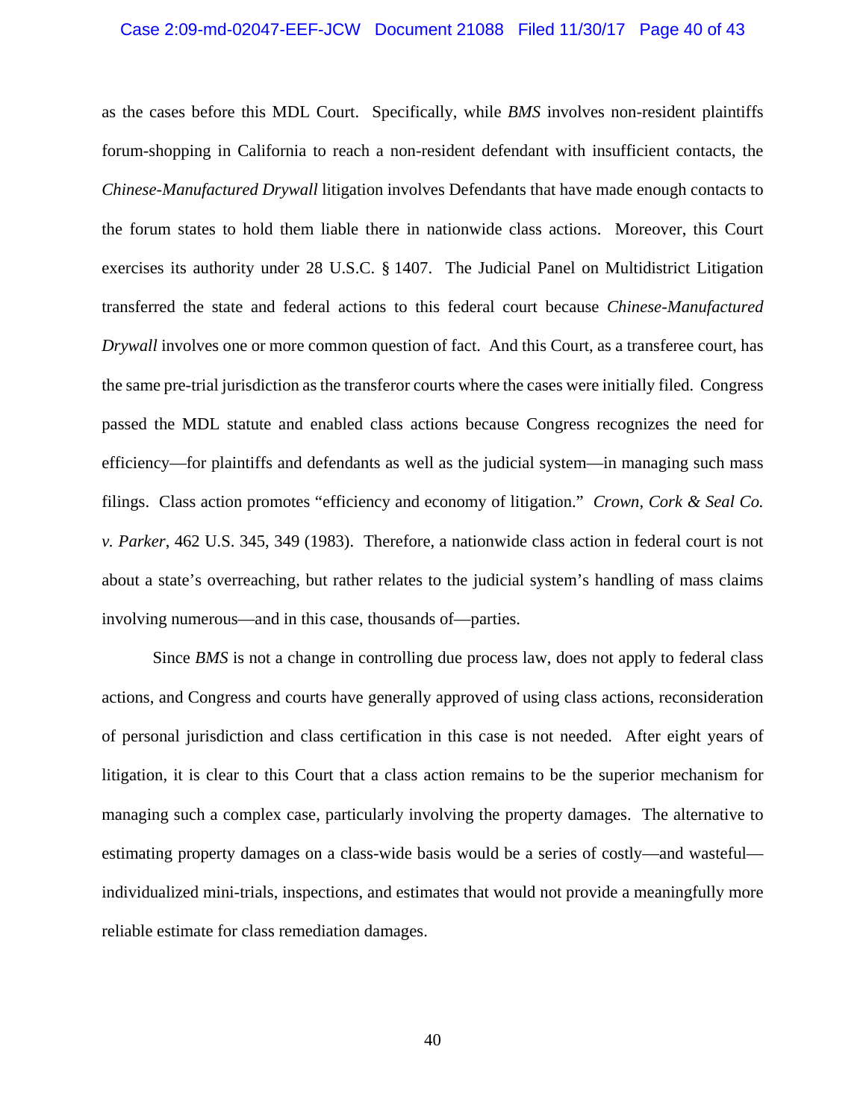### Case 2:09-md-02047-EEF-JCW Document 21088 Filed 11/30/17 Page 40 of 43

as the cases before this MDL Court. Specifically, while *BMS* involves non-resident plaintiffs forum-shopping in California to reach a non-resident defendant with insufficient contacts, the *Chinese-Manufactured Drywall* litigation involves Defendants that have made enough contacts to the forum states to hold them liable there in nationwide class actions. Moreover, this Court exercises its authority under 28 U.S.C. § 1407. The Judicial Panel on Multidistrict Litigation transferred the state and federal actions to this federal court because *Chinese-Manufactured Drywall* involves one or more common question of fact. And this Court, as a transferee court, has the same pre-trial jurisdiction as the transferor courts where the cases were initially filed. Congress passed the MDL statute and enabled class actions because Congress recognizes the need for efficiency—for plaintiffs and defendants as well as the judicial system—in managing such mass filings. Class action promotes "efficiency and economy of litigation." *Crown, Cork & Seal Co. v. Parker*, 462 U.S. 345, 349 (1983). Therefore, a nationwide class action in federal court is not about a state's overreaching, but rather relates to the judicial system's handling of mass claims involving numerous—and in this case, thousands of—parties.

Since *BMS* is not a change in controlling due process law, does not apply to federal class actions, and Congress and courts have generally approved of using class actions, reconsideration of personal jurisdiction and class certification in this case is not needed. After eight years of litigation, it is clear to this Court that a class action remains to be the superior mechanism for managing such a complex case, particularly involving the property damages. The alternative to estimating property damages on a class-wide basis would be a series of costly—and wasteful individualized mini-trials, inspections, and estimates that would not provide a meaningfully more reliable estimate for class remediation damages.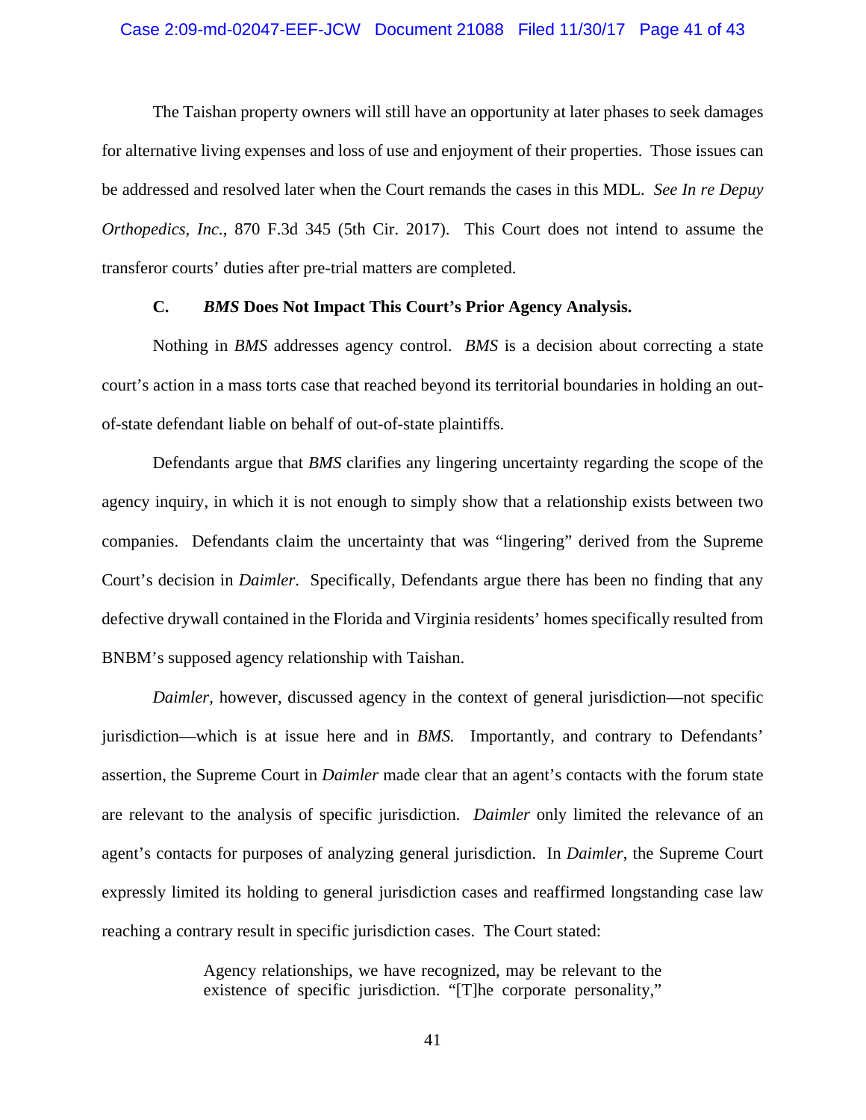### Case 2:09-md-02047-EEF-JCW Document 21088 Filed 11/30/17 Page 41 of 43

The Taishan property owners will still have an opportunity at later phases to seek damages for alternative living expenses and loss of use and enjoyment of their properties. Those issues can be addressed and resolved later when the Court remands the cases in this MDL. *See In re Depuy Orthopedics, Inc.*, 870 F.3d 345 (5th Cir. 2017). This Court does not intend to assume the transferor courts' duties after pre-trial matters are completed.

#### **C.** *BMS* **Does Not Impact This Court's Prior Agency Analysis.**

Nothing in *BMS* addresses agency control. *BMS* is a decision about correcting a state court's action in a mass torts case that reached beyond its territorial boundaries in holding an outof-state defendant liable on behalf of out-of-state plaintiffs.

Defendants argue that *BMS* clarifies any lingering uncertainty regarding the scope of the agency inquiry, in which it is not enough to simply show that a relationship exists between two companies. Defendants claim the uncertainty that was "lingering" derived from the Supreme Court's decision in *Daimler*. Specifically, Defendants argue there has been no finding that any defective drywall contained in the Florida and Virginia residents' homes specifically resulted from BNBM's supposed agency relationship with Taishan.

*Daimler*, however, discussed agency in the context of general jurisdiction—not specific jurisdiction—which is at issue here and in *BMS.* Importantly, and contrary to Defendants' assertion, the Supreme Court in *Daimler* made clear that an agent's contacts with the forum state are relevant to the analysis of specific jurisdiction. *Daimler* only limited the relevance of an agent's contacts for purposes of analyzing general jurisdiction. In *Daimler*, the Supreme Court expressly limited its holding to general jurisdiction cases and reaffirmed longstanding case law reaching a contrary result in specific jurisdiction cases. The Court stated:

> Agency relationships, we have recognized, may be relevant to the existence of specific jurisdiction. "[T]he corporate personality,"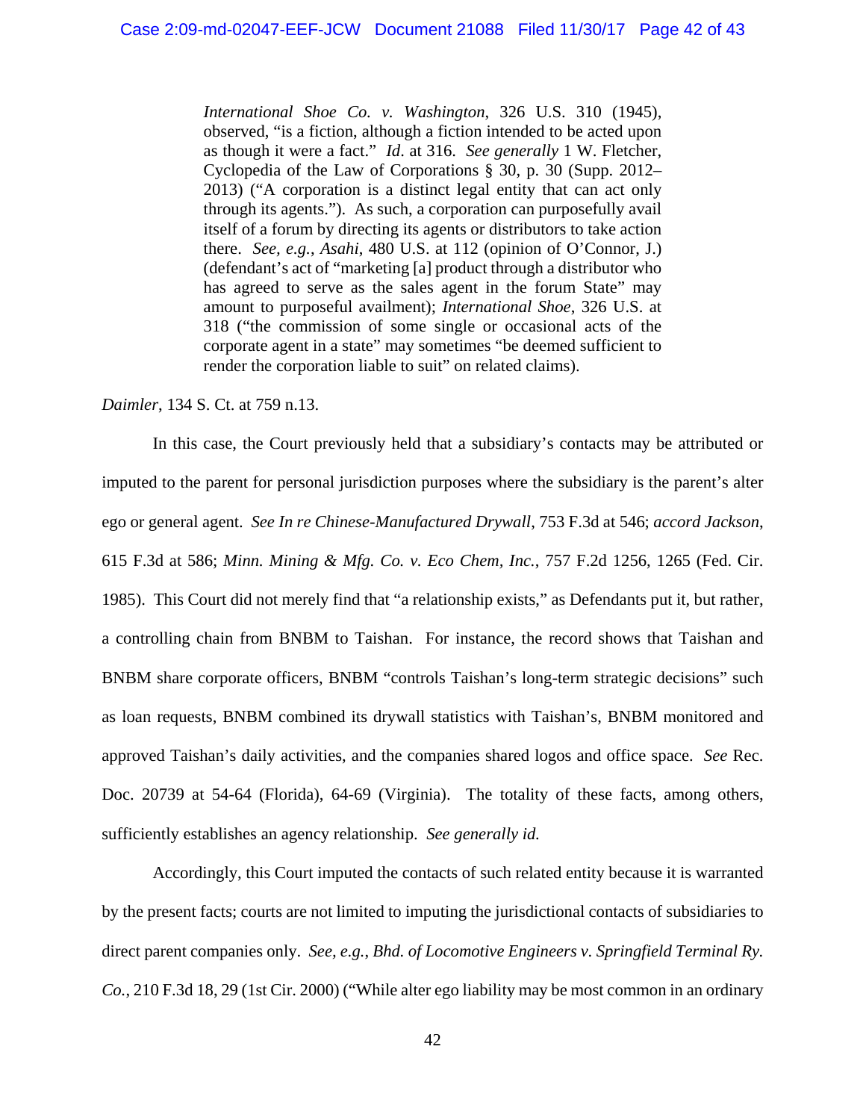*International Shoe Co. v. Washington*, 326 U.S. 310 (1945), observed, "is a fiction, although a fiction intended to be acted upon as though it were a fact." *Id*. at 316. *See generally* 1 W. Fletcher, Cyclopedia of the Law of Corporations § 30, p. 30 (Supp. 2012– 2013) ("A corporation is a distinct legal entity that can act only through its agents."). As such, a corporation can purposefully avail itself of a forum by directing its agents or distributors to take action there. *See, e.g.*, *Asahi*, 480 U.S. at 112 (opinion of O'Connor, J.) (defendant's act of "marketing [a] product through a distributor who has agreed to serve as the sales agent in the forum State" may amount to purposeful availment); *International Shoe*, 326 U.S. at 318 ("the commission of some single or occasional acts of the corporate agent in a state" may sometimes "be deemed sufficient to render the corporation liable to suit" on related claims).

### *Daimler*, 134 S. Ct. at 759 n.13.

In this case, the Court previously held that a subsidiary's contacts may be attributed or imputed to the parent for personal jurisdiction purposes where the subsidiary is the parent's alter ego or general agent. *See In re Chinese-Manufactured Drywall*, 753 F.3d at 546; *accord Jackson*, 615 F.3d at 586; *Minn. Mining & Mfg. Co. v. Eco Chem, Inc.*, 757 F.2d 1256, 1265 (Fed. Cir. 1985). This Court did not merely find that "a relationship exists," as Defendants put it, but rather, a controlling chain from BNBM to Taishan. For instance, the record shows that Taishan and BNBM share corporate officers, BNBM "controls Taishan's long-term strategic decisions" such as loan requests, BNBM combined its drywall statistics with Taishan's, BNBM monitored and approved Taishan's daily activities, and the companies shared logos and office space. *See* Rec. Doc. 20739 at 54-64 (Florida), 64-69 (Virginia). The totality of these facts, among others, sufficiently establishes an agency relationship. *See generally id.* 

Accordingly, this Court imputed the contacts of such related entity because it is warranted by the present facts; courts are not limited to imputing the jurisdictional contacts of subsidiaries to direct parent companies only. *See, e.g.*, *Bhd. of Locomotive Engineers v. Springfield Terminal Ry. Co.*, 210 F.3d 18, 29 (1st Cir. 2000) ("While alter ego liability may be most common in an ordinary